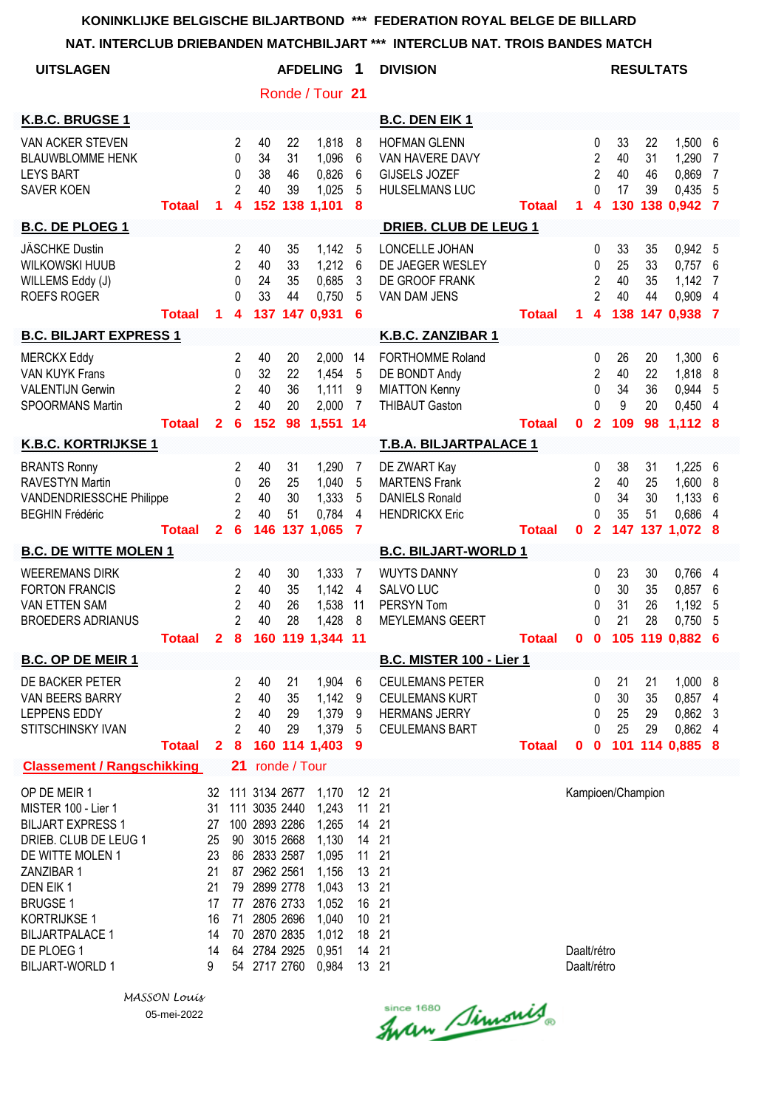| <b>UITSLAGEN</b>                                                                                                                                                                                                                                   |               |                                                                     |                                                               |                                                                                                                                                                               |                            | <b>AFDELING</b>                                                                                          | 1                                                                     | <b>DIVISION</b>                                                                                  |               |                            |                                                                 | <b>RESULTATS</b>            |                                 |                                                       |                                                   |
|----------------------------------------------------------------------------------------------------------------------------------------------------------------------------------------------------------------------------------------------------|---------------|---------------------------------------------------------------------|---------------------------------------------------------------|-------------------------------------------------------------------------------------------------------------------------------------------------------------------------------|----------------------------|----------------------------------------------------------------------------------------------------------|-----------------------------------------------------------------------|--------------------------------------------------------------------------------------------------|---------------|----------------------------|-----------------------------------------------------------------|-----------------------------|---------------------------------|-------------------------------------------------------|---------------------------------------------------|
|                                                                                                                                                                                                                                                    |               |                                                                     |                                                               |                                                                                                                                                                               |                            | Ronde / Tour 21                                                                                          |                                                                       |                                                                                                  |               |                            |                                                                 |                             |                                 |                                                       |                                                   |
| K.B.C. BRUGSE 1                                                                                                                                                                                                                                    |               |                                                                     |                                                               |                                                                                                                                                                               |                            |                                                                                                          |                                                                       | <b>B.C. DEN EIK 1</b>                                                                            |               |                            |                                                                 |                             |                                 |                                                       |                                                   |
| VAN ACKER STEVEN<br><b>BLAUWBLOMME HENK</b><br><b>LEYS BART</b><br><b>SAVER KOEN</b>                                                                                                                                                               | <b>Totaal</b> | 1                                                                   | $\overline{2}$<br>0<br>0<br>$\overline{2}$<br>4               | 40<br>34<br>38<br>40<br>152                                                                                                                                                   | 22<br>31<br>46<br>39       | 1,818<br>1,096<br>0,826<br>1,025<br>138 1,101                                                            | 8<br>6<br>6<br>5<br>8                                                 | <b>HOFMAN GLENN</b><br>VAN HAVERE DAVY<br><b>GIJSELS JOZEF</b><br><b>HULSELMANS LUC</b>          | <b>Totaal</b> | 1.                         | 0<br>$\overline{\mathbf{c}}$<br>$\overline{2}$<br>$\Omega$<br>4 | 33<br>40<br>40<br>17<br>130 | 22<br>31<br>46<br>39            | 1,500<br>1,290<br>0,869<br>0,435<br>138 0,942         | $6\phantom{.}6$<br>7<br>$\overline{7}$<br>5<br>-7 |
| <b>B.C. DE PLOEG 1</b>                                                                                                                                                                                                                             |               |                                                                     |                                                               |                                                                                                                                                                               |                            |                                                                                                          |                                                                       | <b>DRIEB. CLUB DE LEUG 1</b>                                                                     |               |                            |                                                                 |                             |                                 |                                                       |                                                   |
| <b>JÄSCHKE Dustin</b><br><b>WILKOWSKI HUUB</b><br>WILLEMS Eddy (J)<br><b>ROEFS ROGER</b>                                                                                                                                                           | <b>Totaal</b> | 1.                                                                  | 2<br>2<br>$\Omega$<br>$\Omega$<br>$\overline{\mathbf{4}}$     | 40<br>40<br>24<br>33                                                                                                                                                          | 35<br>33<br>35<br>44       | 1,142<br>1,212<br>0,685<br>0,750<br>137 147 0,931                                                        | 5<br>6<br>3<br>5<br>6                                                 | LONCELLE JOHAN<br>DE JAEGER WESLEY<br>DE GROOF FRANK<br>VAN DAM JENS                             | <b>Totaal</b> | 1                          | 0<br>0<br>$\overline{c}$<br>$\overline{2}$<br>4                 | 33<br>25<br>40<br>40<br>138 | 35<br>33<br>35<br>44            | 0,942 5<br>0,757<br>1,142<br>0,909<br>147 0,938 7     | 6<br>7<br>4                                       |
| <b>B.C. BILJART EXPRESS 1</b>                                                                                                                                                                                                                      |               |                                                                     |                                                               |                                                                                                                                                                               |                            |                                                                                                          |                                                                       | K.B.C. ZANZIBAR 1                                                                                |               |                            |                                                                 |                             |                                 |                                                       |                                                   |
| <b>MERCKX Eddy</b><br><b>VAN KUYK Frans</b><br><b>VALENTIJN Gerwin</b><br>SPOORMANS Martin                                                                                                                                                         | <b>Totaal</b> | $\overline{2}$                                                      | 2<br>0<br>$\overline{2}$<br>$\overline{2}$<br>$6\phantom{1}6$ | 40<br>32<br>40<br>40<br>152                                                                                                                                                   | 20<br>22<br>36<br>20<br>98 | 2,000<br>1,454<br>1,111<br>2,000<br>1,551                                                                | 14<br>5<br>9<br>$\overline{7}$<br>$-14$                               | <b>FORTHOMME Roland</b><br>DE BONDT Andy<br><b>MIATTON Kenny</b><br><b>THIBAUT Gaston</b>        | <b>Totaal</b> | $\mathbf 0$                | 0<br>$\overline{2}$<br>0<br>0<br>$\overline{2}$                 | 26<br>40<br>34<br>9<br>109  | 20<br>22<br>36<br>20<br>98      | 1,300<br>1,818<br>0,944<br>0,450<br>1,112 8           | 6<br>8<br>5<br>4                                  |
| <b>K.B.C. KORTRIJKSE 1</b>                                                                                                                                                                                                                         |               |                                                                     |                                                               |                                                                                                                                                                               |                            |                                                                                                          |                                                                       | T.B.A. BILJARTPALACE 1                                                                           |               |                            |                                                                 |                             |                                 |                                                       |                                                   |
| <b>BRANTS Ronny</b><br><b>RAVESTYN Martin</b><br><b>VANDENDRIESSCHE Philippe</b><br><b>BEGHIN Frédéric</b>                                                                                                                                         | <b>Totaal</b> | $\mathbf{2}$                                                        | $\overline{2}$<br>0<br>$\overline{c}$<br>$\overline{2}$<br>6  | 40<br>26<br>40<br>40<br>146                                                                                                                                                   | 31<br>25<br>30<br>51       | 1,290<br>1,040<br>1,333<br>0,784<br>137 1,065                                                            | 7<br>5<br>5<br>4<br>$\overline{7}$                                    | DE ZWART Kay<br><b>MARTENS Frank</b><br><b>DANIELS Ronald</b><br><b>HENDRICKX Eric</b>           | <b>Totaal</b> | $\mathbf 0$                | 0<br>$\overline{2}$<br>0<br>0<br>$\overline{2}$                 | 38<br>40<br>34<br>35        | 31<br>25<br>30<br>51            | 1,225 6<br>1,600<br>1,133<br>0,686<br>147 137 1,072 8 | 8<br>6<br>4                                       |
| <b>B.C. DE WITTE MOLEN 1</b>                                                                                                                                                                                                                       |               |                                                                     |                                                               |                                                                                                                                                                               |                            |                                                                                                          |                                                                       | <b>B.C. BILJART-WORLD 1</b>                                                                      |               |                            |                                                                 |                             |                                 |                                                       |                                                   |
| <b>WEEREMANS DIRK</b><br><b>FORTON FRANCIS</b><br><b>VAN ETTEN SAM</b><br><b>BROEDERS ADRIANUS</b>                                                                                                                                                 | <b>Totaal</b> | $\mathbf{2}$                                                        | 2<br>$\overline{2}$<br>2<br>$\overline{c}$<br>8               | 40<br>40<br>40<br>40<br>160                                                                                                                                                   | 30<br>35<br>26<br>28       | 1,333<br>1,142<br>1,538<br>1,428<br>119 1,344                                                            | 7<br>4<br>11<br>8<br>11                                               | <b>WUYTS DANNY</b><br>SALVO LUC<br>PERSYN Tom<br><b>MEYLEMANS GEERT</b>                          | <b>Totaal</b> | 0                          | 0<br>0<br>0<br>0<br>$\mathbf 0$                                 | 23<br>30<br>31<br>21        | 30<br>35<br>26<br>28<br>105 119 | 0,766<br>0,857<br>1,192<br>0,750<br>$0,882$ 6         | 4<br>6<br>5<br>5                                  |
| <b>B.C. OP DE MEIR 1</b>                                                                                                                                                                                                                           |               |                                                                     |                                                               |                                                                                                                                                                               |                            |                                                                                                          |                                                                       | B.C. MISTER 100 - Lier 1                                                                         |               |                            |                                                                 |                             |                                 |                                                       |                                                   |
| DE BACKER PETER<br>VAN BEERS BARRY<br>LEPPENS EDDY<br>STITSCHINSKY IVAN                                                                                                                                                                            | <b>Totaal</b> | $\mathbf{2}$                                                        | 2<br>2<br>$\overline{2}$<br>$\overline{c}$<br>8               | 40<br>40<br>40<br>40                                                                                                                                                          | 21<br>35<br>29<br>29       | 1,904<br>1,142<br>1,379<br>1,379<br>160 114 1,403                                                        | 6<br>9<br>9<br>5<br>9                                                 | <b>CEULEMANS PETER</b><br><b>CEULEMANS KURT</b><br><b>HERMANS JERRY</b><br><b>CEULEMANS BART</b> | <b>Totaal</b> | 0                          | 0<br>0<br>0<br>0<br>$\mathbf 0$                                 | 21<br>30<br>25<br>25<br>101 | 21<br>35<br>29<br>29            | 1,000<br>0,857<br>0,862<br>0,862<br>114 0,885 8       | 8<br>4<br>3<br>4                                  |
| <b>Classement / Rangschikking</b>                                                                                                                                                                                                                  |               |                                                                     | 21                                                            |                                                                                                                                                                               | ronde / Tour               |                                                                                                          |                                                                       |                                                                                                  |               |                            |                                                                 |                             |                                 |                                                       |                                                   |
| OP DE MEIR 1<br>MISTER 100 - Lier 1<br><b>BILJART EXPRESS 1</b><br>DRIEB. CLUB DE LEUG 1<br>DE WITTE MOLEN 1<br>ZANZIBAR 1<br>DEN EIK1<br><b>BRUGSE 1</b><br><b>KORTRIJKSE 1</b><br><b>BILJARTPALACE 1</b><br>DE PLOEG 1<br><b>BILJART-WORLD 1</b> |               | 32<br>31<br>27<br>25<br>23<br>21<br>21<br>17<br>16<br>14<br>14<br>9 | 90<br>79<br>77<br>71<br>70<br>64                              | 111 3134 2677<br>111 3035 2440<br>100 2893 2286<br>3015 2668<br>86 2833 2587<br>87 2962 2561<br>2899 2778<br>2876 2733<br>2805 2696<br>2870 2835<br>2784 2925<br>54 2717 2760 |                            | 1,170<br>1,243<br>1,265<br>1,130<br>1,095<br>1,156<br>1,043<br>1,052<br>1,040<br>1,012<br>0,951<br>0,984 | 11<br>14<br>14<br>11<br>13<br>13<br>16<br>10 <sup>°</sup><br>18<br>14 | 12 21<br>21<br>21<br>21<br>21<br>21<br>21<br>21<br>21<br>21<br>21<br>13 21                       |               | Daalt/rétro<br>Daalt/rétro |                                                                 | Kampioen/Champion           |                                 |                                                       |                                                   |

*MASSON Louis* 05-mei-2022

Since 1680 Simonis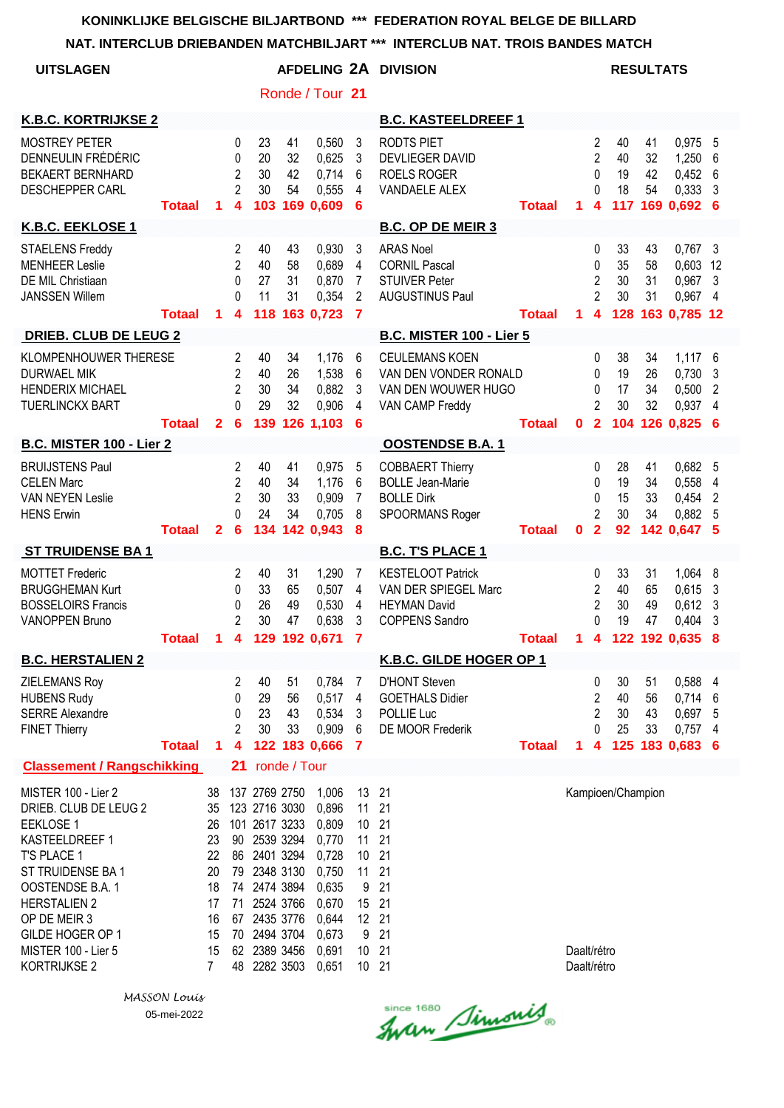| NAI. INTERULUB DRIEBANDEN MATUMBILJART                                                                                                                                                                                                              |                            |                                                                                  |                                                                                  |                                                                                                                                                                                           |                      |                                                                                                          |                                                                                 | "" INTERULUB NAT. TRUIS BANDES MATUH                                                             |                            |                            |                                                                       |                             |                      |                                                             |                               |
|-----------------------------------------------------------------------------------------------------------------------------------------------------------------------------------------------------------------------------------------------------|----------------------------|----------------------------------------------------------------------------------|----------------------------------------------------------------------------------|-------------------------------------------------------------------------------------------------------------------------------------------------------------------------------------------|----------------------|----------------------------------------------------------------------------------------------------------|---------------------------------------------------------------------------------|--------------------------------------------------------------------------------------------------|----------------------------|----------------------------|-----------------------------------------------------------------------|-----------------------------|----------------------|-------------------------------------------------------------|-------------------------------|
| <b>UITSLAGEN</b>                                                                                                                                                                                                                                    |                            |                                                                                  |                                                                                  |                                                                                                                                                                                           |                      |                                                                                                          |                                                                                 | AFDELING 2A DIVISION                                                                             |                            |                            |                                                                       |                             | <b>RESULTATS</b>     |                                                             |                               |
|                                                                                                                                                                                                                                                     |                            |                                                                                  |                                                                                  |                                                                                                                                                                                           |                      | Ronde / Tour 21                                                                                          |                                                                                 |                                                                                                  |                            |                            |                                                                       |                             |                      |                                                             |                               |
| <b>K.B.C. KORTRIJKSE 2</b>                                                                                                                                                                                                                          |                            |                                                                                  |                                                                                  |                                                                                                                                                                                           |                      |                                                                                                          |                                                                                 | <b>B.C. KASTEELDREEF 1</b>                                                                       |                            |                            |                                                                       |                             |                      |                                                             |                               |
| <b>MOSTREY PETER</b><br>DENNEULIN FRÉDÉRIC<br><b>BEKAERT BERNHARD</b><br><b>DESCHEPPER CARL</b>                                                                                                                                                     | <b>Totaal</b>              | 1                                                                                | $\bf{0}$<br>0<br>$\overline{2}$<br>$\overline{2}$<br>4                           | 23<br>20<br>30<br>30<br>103                                                                                                                                                               | 41<br>32<br>42<br>54 | 0,560<br>0,625<br>0,714<br>0,555<br>169 0,609                                                            | 3<br>3<br>6<br>4<br>6                                                           | <b>RODTS PIET</b><br><b>DEVLIEGER DAVID</b><br><b>ROELS ROGER</b><br><b>VANDAELE ALEX</b>        | <b>Totaal</b>              | 1.                         | 2<br>$\overline{2}$<br>$\mathbf{0}$<br>$\Omega$<br>4                  | 40<br>40<br>19<br>18<br>117 | 41<br>32<br>42<br>54 | 0,975<br>1,250<br>0,452<br>0,333<br>169 0,692               | -5<br>6<br>6<br>3<br>6        |
| K.B.C. EEKLOSE 1                                                                                                                                                                                                                                    |                            |                                                                                  |                                                                                  |                                                                                                                                                                                           |                      |                                                                                                          |                                                                                 | <b>B.C. OP DE MEIR 3</b>                                                                         |                            |                            |                                                                       |                             |                      |                                                             |                               |
| <b>STAELENS Freddy</b><br><b>MENHEER Leslie</b><br>DE MIL Christiaan<br><b>JANSSEN Willem</b>                                                                                                                                                       | <b>Totaal</b>              | 1                                                                                | $\overline{c}$<br>$\overline{2}$<br>$\mathbf{0}$<br>0<br>$\overline{\mathbf{4}}$ | 40<br>40<br>27<br>11<br>118                                                                                                                                                               | 43<br>58<br>31<br>31 | 0,930<br>0,689<br>0,870<br>0,354<br>163 0,723                                                            | 3<br>4<br>7<br>$\overline{2}$<br>$\overline{7}$                                 | <b>ARAS Noel</b><br><b>CORNIL Pascal</b><br><b>STUIVER Peter</b><br><b>AUGUSTINUS Paul</b>       | <b>Totaal</b>              | $\mathbf 1$                | 0<br>0<br>$\overline{2}$<br>$\overline{2}$<br>$\overline{\mathbf{4}}$ | 33<br>35<br>30<br>30        | 43<br>58<br>31<br>31 | $0,767$ 3<br>0,603<br>0,967<br>0,967<br>128 163 0,785 12    | 12<br>3<br>$\overline{4}$     |
| <b>DRIEB. CLUB DE LEUG 2</b>                                                                                                                                                                                                                        |                            |                                                                                  |                                                                                  |                                                                                                                                                                                           |                      |                                                                                                          |                                                                                 | <b>B.C. MISTER 100 - Lier 5</b>                                                                  |                            |                            |                                                                       |                             |                      |                                                             |                               |
| KLOMPENHOUWER THERESE<br><b>DURWAEL MIK</b><br><b>HENDERIX MICHAEL</b><br><b>TUERLINCKX BART</b>                                                                                                                                                    | <b>Totaal</b>              | $\mathbf{2}$                                                                     | $\overline{2}$<br>2<br>$\overline{c}$<br>0<br>6                                  | 40<br>40<br>30<br>29<br>139                                                                                                                                                               | 34<br>26<br>34<br>32 | 1,176<br>1,538<br>0,882<br>0,906<br>126 1,103                                                            | 6<br>6<br>3<br>4<br>6                                                           | <b>CEULEMANS KOEN</b><br>VAN DEN VONDER RONALD<br>VAN DEN WOUWER HUGO<br>VAN CAMP Freddy         | <b>Totaal</b>              | $\mathbf 0$                | 0<br>0<br>0<br>$\overline{2}$<br>$\overline{2}$                       | 38<br>19<br>17<br>30        | 34<br>26<br>34<br>32 | $1,117$ 6<br>0,730<br>0,500<br>0,937<br>104 126 0,825       | 3<br>$\overline{2}$<br>4<br>6 |
| <b>B.C. MISTER 100 - Lier 2</b>                                                                                                                                                                                                                     |                            |                                                                                  |                                                                                  |                                                                                                                                                                                           |                      |                                                                                                          |                                                                                 | <b>OOSTENDSE B.A. 1</b>                                                                          |                            |                            |                                                                       |                             |                      |                                                             |                               |
| <b>BRUIJSTENS Paul</b><br><b>CELEN Marc</b><br><b>VAN NEYEN Leslie</b><br><b>HENS Erwin</b>                                                                                                                                                         | <b>Totaal</b>              | $\mathbf{2}$                                                                     | 2<br>$\overline{2}$<br>$\overline{2}$<br>$\Omega$<br>6                           | 40<br>40<br>30<br>24<br>134                                                                                                                                                               | 41<br>34<br>33<br>34 | 0,975<br>1,176<br>0,909<br>0,705<br>142 0,943                                                            | 5<br>6<br>7<br>8<br>8                                                           | <b>COBBAERT Thierry</b><br><b>BOLLE Jean-Marie</b><br><b>BOLLE Dirk</b><br>SPOORMANS Roger       | <b>Totaal</b>              | 0                          | $\mathbf{0}$<br>0<br>0<br>$\overline{2}$<br>$\overline{2}$            | 28<br>19<br>15<br>30<br>92  | 41<br>34<br>33<br>34 | 0,682<br>0,558<br>0,454<br>0,882<br>142 0,647               | 5<br>4<br>2<br>5<br>5         |
| <b>ST TRUIDENSE BA1</b>                                                                                                                                                                                                                             |                            |                                                                                  |                                                                                  |                                                                                                                                                                                           |                      |                                                                                                          |                                                                                 | <b>B.C. T'S PLACE 1</b>                                                                          |                            |                            |                                                                       |                             |                      |                                                             |                               |
| <b>MOTTET Frederic</b><br><b>BRUGGHEMAN Kurt</b><br><b>BOSSELOIRS Francis</b><br><b>VANOPPEN Bruno</b>                                                                                                                                              | Totaal 1 4 129 192 0,671 7 |                                                                                  | $\overline{c}$<br>0<br>0<br>$\overline{2}$                                       | 40<br>33<br>26<br>30                                                                                                                                                                      | 31<br>65<br>49<br>47 | 1,290<br>0,507<br>0,530<br>0,638                                                                         | 7<br>4<br>4<br>3                                                                | <b>KESTELOOT Patrick</b><br>VAN DER SPIEGEL Marc<br><b>HEYMAN David</b><br><b>COPPENS Sandro</b> | Totaal 1 4 122 192 0,635 8 |                            | 0<br>$\overline{2}$<br>$\overline{2}$<br>$\Omega$                     | 33<br>40<br>30<br>19        | 31<br>65<br>49<br>47 | 1,064<br>0,615<br>0,612<br>0,404                            | 8<br>3<br>3<br>3              |
| <b>B.C. HERSTALIEN 2</b>                                                                                                                                                                                                                            |                            |                                                                                  |                                                                                  |                                                                                                                                                                                           |                      |                                                                                                          |                                                                                 | <b>K.B.C. GILDE HOGER OP 1</b>                                                                   |                            |                            |                                                                       |                             |                      |                                                             |                               |
| ZIELEMANS Roy<br><b>HUBENS Rudy</b><br><b>SERRE Alexandre</b><br><b>FINET Thierry</b>                                                                                                                                                               | <b>Totaal</b>              | $\blacktriangleleft$                                                             | $\overline{2}$<br>0<br>0<br>$\overline{2}$<br>4                                  | 40<br>29<br>23<br>30                                                                                                                                                                      | 51<br>56<br>43<br>33 | 0,784<br>0,517<br>0,534<br>0,909<br>122 183 0,666                                                        | -7<br>$\overline{4}$<br>3<br>6<br><b>7</b>                                      | <b>D'HONT Steven</b><br><b>GOETHALS Didier</b><br>POLLIE Luc<br>DE MOOR Frederik                 | <b>Totaal</b>              | 1.                         | 0<br>$\overline{c}$<br>$\overline{2}$<br>0<br>4                       | 30<br>40<br>30<br>25        | 51<br>56<br>43<br>33 | 0,588 4<br>0,714<br>0,697 5<br>$0,757$ 4<br>125 183 0,683 6 | 6                             |
| <b>Classement / Rangschikking</b>                                                                                                                                                                                                                   |                            |                                                                                  | 21                                                                               |                                                                                                                                                                                           | ronde / Tour         |                                                                                                          |                                                                                 |                                                                                                  |                            |                            |                                                                       |                             |                      |                                                             |                               |
| MISTER 100 - Lier 2<br>DRIEB. CLUB DE LEUG 2<br><b>EEKLOSE 1</b><br>KASTEELDREEF 1<br>T'S PLACE 1<br>ST TRUIDENSE BA 1<br>OOSTENDSE B.A. 1<br><b>HERSTALIEN 2</b><br>OP DE MEIR 3<br>GILDE HOGER OP 1<br>MISTER 100 - Lier 5<br><b>KORTRIJKSE 2</b> |                            | 38<br>35<br>26<br>23<br>22<br>20<br>18<br>17<br>16<br>15<br>15<br>$\overline{7}$ | 71<br>48                                                                         | 137 2769 2750<br>123 2716 3030<br>101 2617 3233<br>90 2539 3294<br>86 2401 3294<br>79 2348 3130<br>74 2474 3894<br>2524 3766<br>67 2435 3776<br>70 2494 3704<br>62 2389 3456<br>2282 3503 |                      | 1,006<br>0,896<br>0,809<br>0,770<br>0,728<br>0,750<br>0,635<br>0,670<br>0,644<br>0,673<br>0,691<br>0,651 | 13<br>11<br>10 21<br>11<br>10 <sup>°</sup><br>11<br>9<br>15<br>12 21<br>9<br>10 | 21<br>21<br>21<br>21<br>21<br>21<br>21<br>21<br>21<br>10 21                                      |                            | Daalt/rétro<br>Daalt/rétro |                                                                       |                             | Kampioen/Champion    |                                                             |                               |

*MASSON Louis* 05-mei-2022

since 1680 Simonis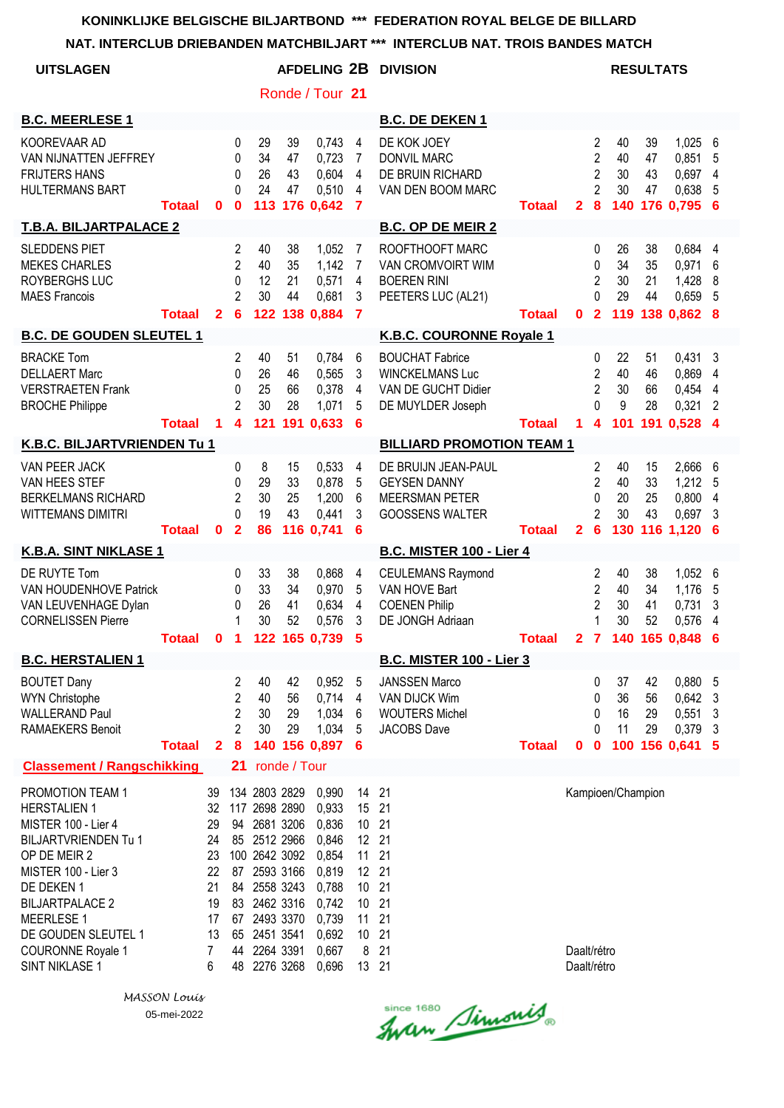**NAT. INTERCLUB DRIEBANDEN MATCHBILJART \*\*\* INTERCLUB NAT. TROIS BANDES MATCH**

| <u>NAI. INTERULUD DRIEDANDEN MATUMBILJAR I</u>                                                                                                                                                                                                                  |               |                                                                    |                                                                            |                                                                                                                                                                                              |                             |                                                                                                          |                                                                                          | INTERULUD NAT. TRUIS DANDES MATUM                                                             |                            |                            |                                                                                  |                             |                             |                                                     |                          |
|-----------------------------------------------------------------------------------------------------------------------------------------------------------------------------------------------------------------------------------------------------------------|---------------|--------------------------------------------------------------------|----------------------------------------------------------------------------|----------------------------------------------------------------------------------------------------------------------------------------------------------------------------------------------|-----------------------------|----------------------------------------------------------------------------------------------------------|------------------------------------------------------------------------------------------|-----------------------------------------------------------------------------------------------|----------------------------|----------------------------|----------------------------------------------------------------------------------|-----------------------------|-----------------------------|-----------------------------------------------------|--------------------------|
| <b>UITSLAGEN</b>                                                                                                                                                                                                                                                |               |                                                                    |                                                                            |                                                                                                                                                                                              |                             | <b>AFDELING 2B</b>                                                                                       |                                                                                          | <b>DIVISION</b>                                                                               |                            |                            |                                                                                  |                             | <b>RESULTATS</b>            |                                                     |                          |
|                                                                                                                                                                                                                                                                 |               |                                                                    |                                                                            |                                                                                                                                                                                              |                             | Ronde / Tour 21                                                                                          |                                                                                          |                                                                                               |                            |                            |                                                                                  |                             |                             |                                                     |                          |
| <b>B.C. MEERLESE 1</b>                                                                                                                                                                                                                                          |               |                                                                    |                                                                            |                                                                                                                                                                                              |                             |                                                                                                          |                                                                                          | <b>B.C. DE DEKEN 1</b>                                                                        |                            |                            |                                                                                  |                             |                             |                                                     |                          |
| KOOREVAAR AD<br>VAN NIJNATTEN JEFFREY<br><b>FRIJTERS HANS</b><br><b>HULTERMANS BART</b>                                                                                                                                                                         | Totaal        | $\mathbf{0}$                                                       | $\mathbf 0$<br>0<br>$\Omega$<br>$\Omega$<br>$\mathbf 0$                    | 29<br>34<br>26<br>24<br>113                                                                                                                                                                  | 39<br>47<br>43<br>47        | 0,743<br>0,723<br>0,604<br>0,510<br>176 0,642                                                            | 4<br>7<br>$\overline{4}$<br>4<br>$\overline{7}$                                          | DE KOK JOEY<br><b>DONVIL MARC</b><br>DE BRUIN RICHARD<br>VAN DEN BOOM MARC                    | <b>Totaal</b>              | $\overline{2}$             | 2<br>$\overline{2}$<br>$\overline{2}$<br>$\overline{2}$<br>8                     | 40<br>40<br>30<br>30<br>140 | 39<br>47<br>43<br>47        | 1,025<br>0,851<br>0,697<br>0,638<br>176 0.795 6     | 6<br>5<br>4<br>5         |
| <b>T.B.A. BILJARTPALACE 2</b>                                                                                                                                                                                                                                   |               |                                                                    |                                                                            |                                                                                                                                                                                              |                             |                                                                                                          |                                                                                          | <b>B.C. OP DE MEIR 2</b>                                                                      |                            |                            |                                                                                  |                             |                             |                                                     |                          |
| <b>SLEDDENS PIET</b><br><b>MEKES CHARLES</b><br>ROYBERGHS LUC<br><b>MAES Francois</b>                                                                                                                                                                           | <b>Totaal</b> | $\overline{2}$                                                     | $\overline{c}$<br>$\overline{2}$<br>0<br>$\overline{2}$<br>$6\phantom{1}6$ | 40<br>40<br>12<br>30<br>122                                                                                                                                                                  | 38<br>35<br>21<br>44        | 1,052<br>1,142<br>0,571<br>0,681<br>138 0,884                                                            | 7<br>7<br>$\overline{\mathbf{4}}$<br>3<br>$\overline{7}$                                 | ROOFTHOOFT MARC<br>VAN CROMVOIRT WIM<br><b>BOEREN RINI</b><br>PEETERS LUC (AL21)              | Totaal                     | $\mathbf{0}$               | 0<br>$\mathbf 0$<br>$\overline{2}$<br>0<br>$\overline{2}$                        | 26<br>34<br>30<br>29        | 38<br>35<br>21<br>44        | 0,684<br>0,971<br>1,428<br>0,659<br>119 138 0,862 8 | 4<br>6<br>8<br>5         |
| <b>B.C. DE GOUDEN SLEUTEL 1</b>                                                                                                                                                                                                                                 |               |                                                                    |                                                                            |                                                                                                                                                                                              |                             |                                                                                                          |                                                                                          | K.B.C. COURONNE Royale 1                                                                      |                            |                            |                                                                                  |                             |                             |                                                     |                          |
| <b>BRACKE Tom</b><br><b>DELLAERT Marc</b><br><b>VERSTRAETEN Frank</b><br><b>BROCHE Philippe</b>                                                                                                                                                                 | <b>Totaal</b> | 1                                                                  | $\overline{2}$<br>0<br>0<br>2<br>$\overline{\mathbf{4}}$                   | 40<br>26<br>25<br>30<br>121                                                                                                                                                                  | 51<br>46<br>66<br>28<br>191 | 0,784<br>0,565<br>0,378<br>1,071<br>0,633                                                                | 6<br>3<br>$\overline{4}$<br>5<br>6                                                       | <b>BOUCHAT Fabrice</b><br><b>WINCKELMANS Luc</b><br>VAN DE GUCHT Didier<br>DE MUYLDER Joseph  | <b>Totaal</b>              | $\blacktriangleleft$       | $\mathbf{0}$<br>$\overline{2}$<br>$\overline{2}$<br>0<br>$\overline{\mathbf{4}}$ | 22<br>40<br>30<br>9<br>101  | 51<br>46<br>66<br>28<br>191 | $0,431$ 3<br>0,869<br>0,454<br>0,321<br>$0,528$ 4   | 4<br>4<br>$\overline{2}$ |
| K.B.C. BILJARTVRIENDEN Tu 1                                                                                                                                                                                                                                     |               |                                                                    |                                                                            |                                                                                                                                                                                              |                             |                                                                                                          |                                                                                          | <b>BILLIARD PROMOTION TEAM 1</b>                                                              |                            |                            |                                                                                  |                             |                             |                                                     |                          |
| VAN PEER JACK<br>VAN HEES STEF<br><b>BERKELMANS RICHARD</b><br><b>WITTEMANS DIMITRI</b>                                                                                                                                                                         | <b>Totaal</b> | $\mathbf{0}$                                                       | 0<br>$\Omega$<br>$\overline{2}$<br>$\Omega$<br>$\overline{2}$              | 8<br>29<br>30<br>19<br>86                                                                                                                                                                    | 15<br>33<br>25<br>43        | 0,533<br>0,878<br>1,200<br>0,441<br>116 0,741                                                            | 4<br>5<br>6<br>3<br>6                                                                    | DE BRUIJN JEAN-PAUL<br><b>GEYSEN DANNY</b><br><b>MEERSMAN PETER</b><br><b>GOOSSENS WALTER</b> | <b>Totaal</b>              | $\overline{2}$             | 2<br>$\overline{2}$<br>0<br>$\overline{2}$<br>$6\phantom{1}6$                    | 40<br>40<br>20<br>30<br>130 | 15<br>33<br>25<br>43        | 2,666<br>1,212<br>0,800<br>0,697<br>116 1,120       | 6<br>5<br>4<br>3<br>6    |
| K.B.A. SINT NIKLASE 1                                                                                                                                                                                                                                           |               |                                                                    |                                                                            |                                                                                                                                                                                              |                             |                                                                                                          |                                                                                          | <b>B.C. MISTER 100 - Lier 4</b>                                                               |                            |                            |                                                                                  |                             |                             |                                                     |                          |
| DE RUYTE Tom<br>VAN HOUDENHOVE Patrick<br>VAN LEUVENHAGE Dylan<br><b>CORNELISSEN Pierre</b>                                                                                                                                                                     | Totaal        |                                                                    | 0<br>0<br>0<br>1                                                           | 33<br>33<br>26<br>30                                                                                                                                                                         | 38<br>34<br>41<br>52        | 0,868<br>0,970<br>0,634<br>0,576<br>0 1 122 165 0,739 5                                                  | 4<br>5<br>$\overline{4}$<br>3                                                            | <b>CEULEMANS Raymond</b><br>VAN HOVE Bart<br><b>COENEN Philip</b><br>DE JONGH Adriaan         | Totaal 2 7 140 165 0,848 6 |                            | 2<br>$\overline{2}$<br>$\overline{2}$<br>1                                       | 40<br>40<br>30<br>30        | 38<br>34<br>41<br>52        | 1,052<br>1,176<br>0,731<br>0,576                    | 6<br>5<br>3<br>4         |
| <b>B.C. HERSTALIEN 1</b>                                                                                                                                                                                                                                        |               |                                                                    |                                                                            |                                                                                                                                                                                              |                             |                                                                                                          |                                                                                          | <b>B.C. MISTER 100 - Lier 3</b>                                                               |                            |                            |                                                                                  |                             |                             |                                                     |                          |
| <b>BOUTET Dany</b><br><b>WYN Christophe</b><br><b>WALLERAND Paul</b><br><b>RAMAEKERS Benoit</b>                                                                                                                                                                 | <b>Totaal</b> | $\mathbf{2}$                                                       | 2<br>$\overline{2}$<br>2<br>2<br>8                                         | 40<br>40<br>30<br>30                                                                                                                                                                         | 42<br>56<br>29<br>29        | 0,952<br>0,714<br>1,034<br>1,034<br>140 156 0,897                                                        | 5<br>4<br>6<br>5<br>6                                                                    | <b>JANSSEN Marco</b><br>VAN DIJCK Wim<br><b>WOUTERS Michel</b><br><b>JACOBS Dave</b>          | <b>Totaal</b>              | $\mathbf 0$                | 0<br>0<br>0<br>0<br>$\mathbf 0$                                                  | 37<br>36<br>16<br>11        | 42<br>56<br>29<br>29        | 0,880 5<br>0,642<br>0,551<br>0,379<br>100 156 0,641 | 3<br>3<br>3<br>-5        |
| <b>Classement / Rangschikking</b>                                                                                                                                                                                                                               |               |                                                                    | 21                                                                         |                                                                                                                                                                                              | ronde / Tour                |                                                                                                          |                                                                                          |                                                                                               |                            |                            |                                                                                  |                             |                             |                                                     |                          |
| PROMOTION TEAM 1<br><b>HERSTALIEN 1</b><br>MISTER 100 - Lier 4<br><b>BILJARTVRIENDEN Tu 1</b><br>OP DE MEIR 2<br>MISTER 100 - Lier 3<br>DE DEKEN 1<br><b>BILJARTPALACE 2</b><br>MEERLESE 1<br>DE GOUDEN SLEUTEL 1<br><b>COURONNE Royale 1</b><br>SINT NIKLASE 1 |               | 39<br>32<br>29<br>24<br>23<br>22<br>21<br>19<br>17<br>13<br>7<br>6 | 48                                                                         | 134 2803 2829<br>117 2698 2890<br>94 2681 3206<br>85 2512 2966<br>100 2642 3092<br>87 2593 3166<br>84 2558 3243<br>83 2462 3316<br>67 2493 3370<br>65 2451 3541<br>44 2264 3391<br>2276 3268 |                             | 0,990<br>0,933<br>0,836<br>0,846<br>0,854<br>0,819<br>0,788<br>0,742<br>0,739<br>0,692<br>0,667<br>0,696 | 14<br>15 21<br>10 21<br>12 21<br>11<br>12 21<br>10<br>10 21<br>11<br>10 21<br>8<br>13 21 | 21<br>21<br>21<br>21<br>21                                                                    |                            | Daalt/rétro<br>Daalt/rétro |                                                                                  | Kampioen/Champion           |                             |                                                     |                          |

since 1680 Simonis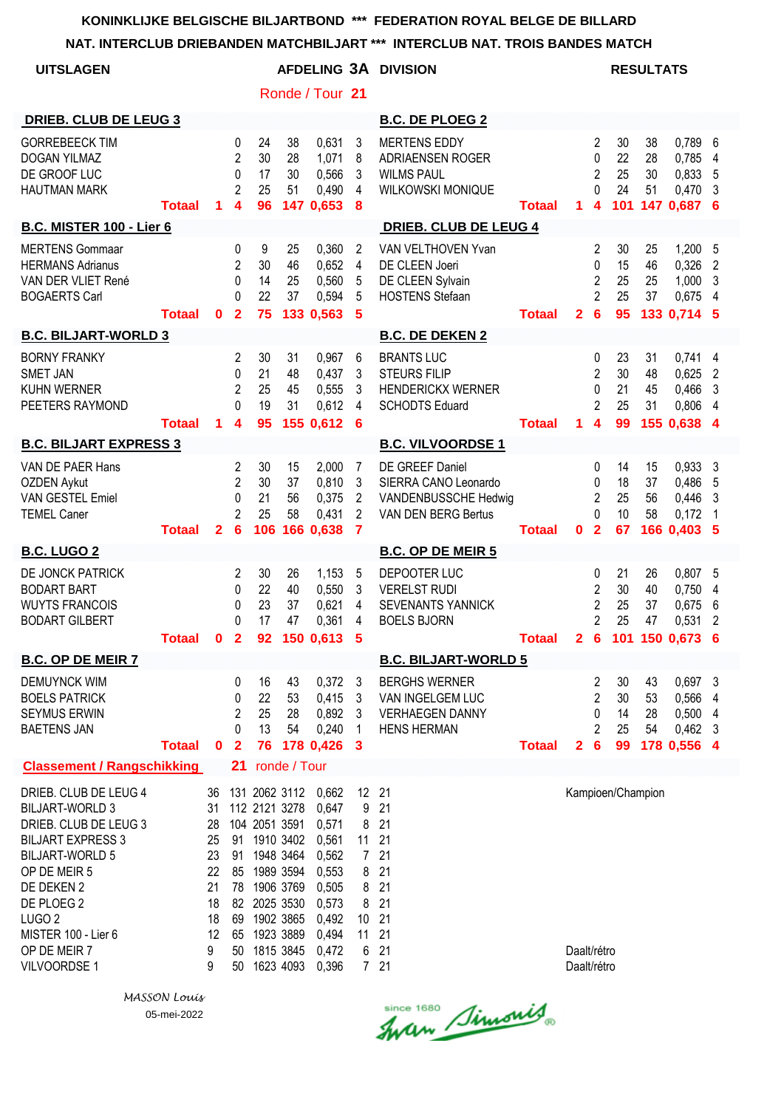| <b>UITSLAGEN</b>                                                                                                                                                                                                                                       |               |                                                                    |                                                           |                                                                                                                                                                                              |                      |                                                                                                          |                                                                       | <b>AFDELING 3A DIVISION</b>                                                                   |               |                            |                                                                            |                             | <b>RESULTATS</b>     |                                                       |                               |
|--------------------------------------------------------------------------------------------------------------------------------------------------------------------------------------------------------------------------------------------------------|---------------|--------------------------------------------------------------------|-----------------------------------------------------------|----------------------------------------------------------------------------------------------------------------------------------------------------------------------------------------------|----------------------|----------------------------------------------------------------------------------------------------------|-----------------------------------------------------------------------|-----------------------------------------------------------------------------------------------|---------------|----------------------------|----------------------------------------------------------------------------|-----------------------------|----------------------|-------------------------------------------------------|-------------------------------|
|                                                                                                                                                                                                                                                        |               |                                                                    |                                                           |                                                                                                                                                                                              |                      | Ronde / Tour 21                                                                                          |                                                                       |                                                                                               |               |                            |                                                                            |                             |                      |                                                       |                               |
| <b>DRIEB. CLUB DE LEUG 3</b>                                                                                                                                                                                                                           |               |                                                                    |                                                           |                                                                                                                                                                                              |                      |                                                                                                          |                                                                       | <b>B.C. DE PLOEG 2</b>                                                                        |               |                            |                                                                            |                             |                      |                                                       |                               |
| <b>GORREBEECK TIM</b><br><b>DOGAN YILMAZ</b><br>DE GROOF LUC<br><b>HAUTMAN MARK</b>                                                                                                                                                                    | <b>Totaal</b> | 1                                                                  | 0<br>$\overline{2}$<br>$\mathbf 0$<br>$\overline{2}$<br>4 | 24<br>30<br>17<br>25<br>96                                                                                                                                                                   | 38<br>28<br>30<br>51 | 0,631<br>1,071<br>0,566<br>0,490<br>147 0,653                                                            | 3<br>8<br>3<br>4<br>8                                                 | <b>MERTENS EDDY</b><br>ADRIAENSEN ROGER<br><b>WILMS PAUL</b><br>WILKOWSKI MONIQUE             | <b>Totaal</b> | 1                          | 2<br>0<br>$\overline{2}$<br>0<br>4                                         | 30<br>22<br>25<br>24        | 38<br>28<br>30<br>51 | 0,789<br>0,785<br>0,833<br>0,470<br>101 147 0,687     | 6<br>4<br>5<br>3<br>6         |
| <b>B.C. MISTER 100 - Lier 6</b>                                                                                                                                                                                                                        |               |                                                                    |                                                           |                                                                                                                                                                                              |                      |                                                                                                          |                                                                       | <b>DRIEB. CLUB DE LEUG 4</b>                                                                  |               |                            |                                                                            |                             |                      |                                                       |                               |
| <b>MERTENS Gommaar</b><br><b>HERMANS Adrianus</b><br>VAN DER VLIET René<br><b>BOGAERTS Carl</b>                                                                                                                                                        | <b>Totaal</b> | $\mathbf{0}$                                                       | 0<br>2<br>$\mathbf{0}$<br>0<br>$\overline{2}$             | 9<br>30<br>14<br>22<br>75                                                                                                                                                                    | 25<br>46<br>25<br>37 | 0,360<br>0,652<br>0,560<br>0,594<br>133 0,563                                                            | 2<br>$\overline{4}$<br>5<br>5<br>5                                    | VAN VELTHOVEN Yvan<br>DE CLEEN Joeri<br>DE CLEEN Sylvain<br><b>HOSTENS Stefaan</b>            | <b>Totaal</b> | $\mathbf{2}$               | 2<br>0<br>2<br>$\overline{2}$<br>6                                         | 30<br>15<br>25<br>25<br>95  | 25<br>46<br>25<br>37 | 1,200<br>0,326<br>1,000<br>0,675<br>133 0,714 5       | 5<br>$\overline{2}$<br>3<br>4 |
| <b>B.C. BILJART-WORLD 3</b>                                                                                                                                                                                                                            |               |                                                                    |                                                           |                                                                                                                                                                                              |                      |                                                                                                          |                                                                       | <b>B.C. DE DEKEN 2</b>                                                                        |               |                            |                                                                            |                             |                      |                                                       |                               |
| <b>BORNY FRANKY</b><br><b>SMET JAN</b><br><b>KUHN WERNER</b><br>PEETERS RAYMOND                                                                                                                                                                        | <b>Totaal</b> | 1                                                                  | 2<br>0<br>2<br>$\Omega$<br>4                              | 30<br>21<br>25<br>19<br>95                                                                                                                                                                   | 31<br>48<br>45<br>31 | 0,967<br>0,437<br>0,555<br>0,612<br>155 0,612                                                            | 6<br>3<br>3<br>4<br>6                                                 | <b>BRANTS LUC</b><br><b>STEURS FILIP</b><br><b>HENDERICKX WERNER</b><br><b>SCHODTS Eduard</b> | <b>Totaal</b> | 1.                         | 0<br>2<br>0<br>2<br>$\boldsymbol{4}$                                       | 23<br>30<br>21<br>25<br>99  | 31<br>48<br>45<br>31 | 0,741<br>0,625<br>0,466<br>0,806<br>155 0,638 4       | 4<br>2<br>3<br>4              |
| <b>B.C. BILJART EXPRESS 3</b>                                                                                                                                                                                                                          |               |                                                                    |                                                           |                                                                                                                                                                                              |                      |                                                                                                          |                                                                       | <b>B.C. VILVOORDSE 1</b>                                                                      |               |                            |                                                                            |                             |                      |                                                       |                               |
| VAN DE PAER Hans<br><b>OZDEN Aykut</b><br><b>VAN GESTEL Emiel</b><br><b>TEMEL Caner</b>                                                                                                                                                                | <b>Totaal</b> | $\overline{2}$                                                     | 2<br>$\overline{2}$<br>0<br>$\overline{2}$<br>6           | 30<br>30<br>21<br>25<br>106                                                                                                                                                                  | 15<br>37<br>56<br>58 | 2,000<br>0,810<br>0,375<br>0,431<br>166 0,638                                                            | 7<br>3<br>$\overline{2}$<br>2<br>$\overline{7}$                       | DE GREEF Daniel<br>SIERRA CANO Leonardo<br>VANDENBUSSCHE Hedwig<br>VAN DEN BERG Bertus        | <b>Totaal</b> | 0                          | 0<br>0<br>2<br>0<br>$\overline{2}$                                         | 14<br>18<br>25<br>10<br>67  | 15<br>37<br>56<br>58 | 0,933<br>0,486<br>0,446<br>0,172<br>166 0,403         | 3<br>5<br>3<br>1<br>5         |
| <b>B.C. LUGO 2</b>                                                                                                                                                                                                                                     |               |                                                                    |                                                           |                                                                                                                                                                                              |                      |                                                                                                          |                                                                       | <b>B.C. OP DE MEIR 5</b>                                                                      |               |                            |                                                                            |                             |                      |                                                       |                               |
| DE JONCK PATRICK<br><b>BODART BART</b><br><b>WUYTS FRANCOIS</b><br><b>BODART GILBERT</b>                                                                                                                                                               | <b>Totaal</b> | 0                                                                  | 2<br>0<br>0<br>0<br>$\mathbf{2}$                          | 30<br>22<br>23<br>17<br>92                                                                                                                                                                   | 26<br>40<br>37<br>47 | 1,153<br>0,550<br>0,621<br>0,361<br>150 0.613                                                            | 5<br>3<br>4<br>4<br>5                                                 | DEPOOTER LUC<br><b>VERELST RUDI</b><br><b>SEVENANTS YANNICK</b><br><b>BOELS BJORN</b>         | <b>Totaal</b> | $\mathbf{2}$               | 0<br>$\overline{2}$<br>$\overline{2}$<br>$\overline{2}$<br>$6\phantom{1}6$ | 21<br>30<br>25<br>25<br>101 | 26<br>40<br>37<br>47 | 0,807<br>0,750<br>0,675<br>0,531<br>150 0.673         | 5<br>4<br>6<br>2<br>6         |
| <b>B.C. OP DE MEIR 7</b>                                                                                                                                                                                                                               |               |                                                                    |                                                           |                                                                                                                                                                                              |                      |                                                                                                          |                                                                       | <b>B.C. BILJART-WORLD 5</b>                                                                   |               |                            |                                                                            |                             |                      |                                                       |                               |
| <b>DEMUYNCK WIM</b><br><b>BOELS PATRICK</b><br><b>SEYMUS ERWIN</b><br><b>BAETENS JAN</b>                                                                                                                                                               | <b>Totaal</b> | $\mathbf{0}$                                                       | 0<br>0<br>$\overline{c}$<br>0<br>$\overline{2}$           | 16<br>22<br>25<br>13<br>76                                                                                                                                                                   | 43<br>53<br>28<br>54 | 0,372<br>0,415<br>0,892<br>0,240<br>178 0,426 3                                                          | 3<br>3<br>3<br>1                                                      | <b>BERGHS WERNER</b><br>VAN INGELGEM LUC<br><b>VERHAEGEN DANNY</b><br><b>HENS HERMAN</b>      | <b>Totaal</b> | $\mathbf{2}$               | 2<br>2<br>0<br>$\overline{2}$<br>6                                         | 30<br>30<br>14<br>25<br>99  | 43<br>53<br>28<br>54 | 0,697 3<br>0,566<br>0,500<br>$0,462$ 3<br>178 0,556 4 | 4<br>4                        |
| <b>Classement / Rangschikking</b>                                                                                                                                                                                                                      |               |                                                                    | 21                                                        |                                                                                                                                                                                              | ronde / Tour         |                                                                                                          |                                                                       |                                                                                               |               |                            |                                                                            |                             |                      |                                                       |                               |
| DRIEB. CLUB DE LEUG 4<br><b>BILJART-WORLD 3</b><br>DRIEB. CLUB DE LEUG 3<br><b>BILJART EXPRESS 3</b><br><b>BILJART-WORLD 5</b><br>OP DE MEIR 5<br>DE DEKEN 2<br>DE PLOEG 2<br>LUGO <sub>2</sub><br>MISTER 100 - Lier 6<br>OP DE MEIR 7<br>VILVOORDSE 1 |               | 36<br>31<br>28<br>25<br>23<br>22<br>21<br>18<br>18<br>12<br>9<br>9 | 50                                                        | 131 2062 3112<br>112 2121 3278<br>104 2051 3591<br>91 1910 3402<br>91 1948 3464<br>85 1989 3594<br>78 1906 3769<br>82 2025 3530<br>69 1902 3865<br>65 1923 3889<br>50 1815 3845<br>1623 4093 |                      | 0,662<br>0,647<br>0,571<br>0,561<br>0,562<br>0,553<br>0,505<br>0,573<br>0,492<br>0,494<br>0,472<br>0,396 | 12 21<br>9<br>8<br>11<br>$7\overline{ }$<br>8<br>8<br>8<br>10 21<br>6 | 21<br>21<br>21<br>21<br>21<br>21<br>21<br>11 21<br>21<br>721                                  |               | Daalt/rétro<br>Daalt/rétro |                                                                            | Kampioen/Champion           |                      |                                                       |                               |

*MASSON Louis* 05-mei-2022

Since 1680 Simonis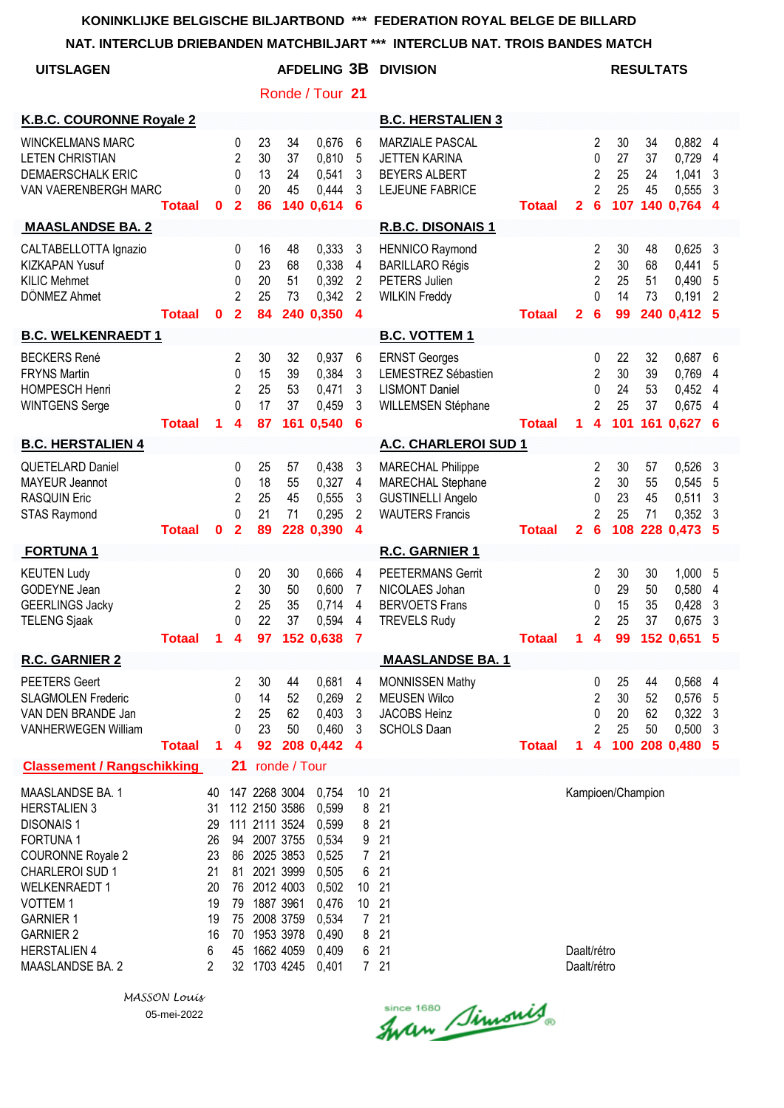**NAT. INTERCLUB DRIEBANDEN MATCHBILJART \*\*\* INTERCLUB NAT. TROIS BANDES MATCH**

| <b>UITSLAGEN</b>                                                                                                                                                                                                                                                 |               |                                                                    |                                                 |                                                                                                                                                                 |                             |                                                                                                          |                                                          | <b>AFDELING 3B DIVISION</b>                                                                         |               |                            |                                                        |                             | <b>RESULTATS</b>     |                                                     |                       |
|------------------------------------------------------------------------------------------------------------------------------------------------------------------------------------------------------------------------------------------------------------------|---------------|--------------------------------------------------------------------|-------------------------------------------------|-----------------------------------------------------------------------------------------------------------------------------------------------------------------|-----------------------------|----------------------------------------------------------------------------------------------------------|----------------------------------------------------------|-----------------------------------------------------------------------------------------------------|---------------|----------------------------|--------------------------------------------------------|-----------------------------|----------------------|-----------------------------------------------------|-----------------------|
|                                                                                                                                                                                                                                                                  |               |                                                                    |                                                 |                                                                                                                                                                 |                             | Ronde / Tour 21                                                                                          |                                                          |                                                                                                     |               |                            |                                                        |                             |                      |                                                     |                       |
| <b>K.B.C. COURONNE Royale 2</b>                                                                                                                                                                                                                                  |               |                                                                    |                                                 |                                                                                                                                                                 |                             |                                                                                                          |                                                          | <b>B.C. HERSTALIEN 3</b>                                                                            |               |                            |                                                        |                             |                      |                                                     |                       |
| <b>WINCKELMANS MARC</b><br><b>LETEN CHRISTIAN</b><br><b>DEMAERSCHALK ERIC</b><br>VAN VAERENBERGH MARC                                                                                                                                                            | <b>Totaal</b> | 0                                                                  | 0<br>$\overline{2}$<br>0<br>0<br>$\mathbf{2}$   | 23<br>30<br>13<br>20<br>86                                                                                                                                      | 34<br>37<br>24<br>45        | 0,676<br>0,810<br>0,541<br>0,444<br>140 0,614                                                            | 6<br>5<br>3<br>3<br>6                                    | <b>MARZIALE PASCAL</b><br><b>JETTEN KARINA</b><br><b>BEYERS ALBERT</b><br>LEJEUNE FABRICE           | <b>Totaal</b> | $\mathbf{2}$               | 2<br>0<br>$\overline{2}$<br>$\overline{2}$<br>6        | 30<br>27<br>25<br>25        | 34<br>37<br>24<br>45 | 0,882<br>0,729<br>1,041<br>0,555<br>107 140 0,764   | 4<br>4<br>3<br>3<br>4 |
| <b>MAASLANDSE BA. 2</b>                                                                                                                                                                                                                                          |               |                                                                    |                                                 |                                                                                                                                                                 |                             |                                                                                                          |                                                          | R.B.C. DISONAIS 1                                                                                   |               |                            |                                                        |                             |                      |                                                     |                       |
| CALTABELLOTTA Ignazio<br><b>KIZKAPAN Yusuf</b><br><b>KILIC Mehmet</b><br>DÖNMEZ Ahmet                                                                                                                                                                            | <b>Totaal</b> | $\bf{0}$                                                           | 0<br>0<br>0<br>$\overline{2}$<br>$\overline{2}$ | 16<br>23<br>20<br>25<br>84                                                                                                                                      | 48<br>68<br>51<br>73        | 0,333<br>0,338<br>0,392<br>0,342<br>240 0,350                                                            | 3<br>4<br>$\overline{2}$<br>2<br>$\boldsymbol{4}$        | <b>HENNICO Raymond</b><br><b>BARILLARO Régis</b><br>PETERS Julien<br><b>WILKIN Freddy</b>           | <b>Totaal</b> | $\mathbf{2}$               | 2<br>$\overline{2}$<br>$\overline{2}$<br>$\Omega$<br>6 | 30<br>30<br>25<br>14<br>99  | 48<br>68<br>51<br>73 | 0,625<br>0,441<br>0,490<br>0,191<br>240 0,412 5     | 3<br>5<br>5<br>2      |
| <b>B.C. WELKENRAEDT 1</b>                                                                                                                                                                                                                                        |               |                                                                    |                                                 |                                                                                                                                                                 |                             |                                                                                                          |                                                          | <b>B.C. VOTTEM 1</b>                                                                                |               |                            |                                                        |                             |                      |                                                     |                       |
| <b>BECKERS René</b><br><b>FRYNS Martin</b><br><b>HOMPESCH Henri</b><br><b>WINTGENS Serge</b>                                                                                                                                                                     | <b>Totaal</b> | 1                                                                  | 2<br>0<br>2<br>0<br>4                           | 30<br>15<br>25<br>17<br>87                                                                                                                                      | 32<br>39<br>53<br>37<br>161 | 0,937<br>0,384<br>0,471<br>0,459<br>0,540                                                                | 6<br>3<br>3<br>3<br>6                                    | <b>ERNST Georges</b><br>LEMESTREZ Sébastien<br><b>LISMONT Daniel</b><br>WILLEMSEN Stéphane          | <b>Totaal</b> | 1.                         | 0<br>$\overline{2}$<br>0<br>2<br>4                     | 22<br>30<br>24<br>25        | 32<br>39<br>53<br>37 | 0,687<br>0,769<br>0,452<br>0,675<br>101 161 0,627 6 | 6<br>4<br>4<br>4      |
| <b>B.C. HERSTALIEN 4</b>                                                                                                                                                                                                                                         |               |                                                                    |                                                 |                                                                                                                                                                 |                             |                                                                                                          |                                                          | A.C. CHARLEROI SUD 1                                                                                |               |                            |                                                        |                             |                      |                                                     |                       |
| <b>QUETELARD Daniel</b><br><b>MAYEUR Jeannot</b><br><b>RASQUIN Eric</b><br><b>STAS Raymond</b>                                                                                                                                                                   | <b>Totaal</b> | 0                                                                  | 0<br>0<br>2<br>$\Omega$<br>$\overline{2}$       | 25<br>18<br>25<br>21<br>89                                                                                                                                      | 57<br>55<br>45<br>71        | 0,438<br>0,327<br>0,555<br>0,295<br>228 0,390                                                            | 3<br>$\overline{\mathbf{4}}$<br>3<br>$\overline{2}$<br>4 | <b>MARECHAL Philippe</b><br>MARECHAL Stephane<br><b>GUSTINELLI Angelo</b><br><b>WAUTERS Francis</b> | <b>Totaal</b> | $\mathbf{2}$               | 2<br>$\overline{2}$<br>0<br>$\overline{2}$<br>6        | 30<br>30<br>23<br>25<br>108 | 57<br>55<br>45<br>71 | 0,526<br>0,545<br>0,511<br>0,352<br>228 0,473       | 3<br>5<br>3<br>3<br>5 |
| <b>FORTUNA1</b>                                                                                                                                                                                                                                                  |               |                                                                    |                                                 |                                                                                                                                                                 |                             |                                                                                                          |                                                          | R.C. GARNIER 1                                                                                      |               |                            |                                                        |                             |                      |                                                     |                       |
| <b>KEUTEN Ludy</b><br>GODEYNE Jean<br><b>GEERLINGS Jacky</b><br><b>TELENG Sjaak</b>                                                                                                                                                                              | Totaal        | 1                                                                  | 0<br>$\overline{2}$<br>$\overline{2}$<br>0<br>4 | 20<br>30<br>25<br>22<br>97                                                                                                                                      | 30<br>50<br>35<br>37        | 0,666<br>0,600<br>0,714<br>0,594<br>152 0,638                                                            | 4<br>7<br>4<br>4<br>7                                    | <b>PEETERMANS Gerrit</b><br>NICOLAES Johan<br><b>BERVOETS Frans</b><br><b>TREVELS Rudy</b>          | <b>Totaal</b> | 1                          | 2<br>0<br>0<br>$\overline{2}$<br>4                     | 30<br>29<br>15<br>25<br>99  | 30<br>50<br>35<br>37 | 1,000<br>0,580<br>0,428<br>0,675<br>152 0,651       | 5<br>4<br>3<br>3<br>5 |
| R.C. GARNIER 2                                                                                                                                                                                                                                                   |               |                                                                    |                                                 |                                                                                                                                                                 |                             |                                                                                                          |                                                          | <b>MAASLANDSE BA. 1</b>                                                                             |               |                            |                                                        |                             |                      |                                                     |                       |
| <b>PEETERS Geert</b><br><b>SLAGMOLEN Frederic</b><br>VAN DEN BRANDE Jan<br><b>VANHERWEGEN William</b>                                                                                                                                                            | <b>Totaal</b> | -1                                                                 | 2<br>0<br>2<br>0<br>4                           | 30<br>14<br>25<br>23<br>92                                                                                                                                      | 44<br>52<br>62<br>50        | 0,681<br>0,269<br>0,403<br>0,460<br>208 0,442                                                            | 4<br>2<br>3<br>3<br>4                                    | MONNISSEN Mathy<br><b>MEUSEN Wilco</b><br><b>JACOBS Heinz</b><br><b>SCHOLS Daan</b>                 | <b>Totaal</b> | 1                          | 0<br>$\overline{2}$<br>0<br>$\overline{2}$<br>4        | 25<br>30<br>20<br>25<br>100 | 44<br>52<br>62<br>50 | 0,568<br>0,576<br>0,322<br>0,500<br>208 0,480 5     | 4<br>5<br>3<br>3      |
| <b>Classement / Rangschikking</b>                                                                                                                                                                                                                                |               |                                                                    | 21                                              |                                                                                                                                                                 | ronde / Tour                |                                                                                                          |                                                          |                                                                                                     |               |                            |                                                        |                             |                      |                                                     |                       |
| MAASLANDSE BA. 1<br><b>HERSTALIEN 3</b><br><b>DISONAIS1</b><br><b>FORTUNA1</b><br><b>COURONNE Royale 2</b><br><b>CHARLEROI SUD 1</b><br><b>WELKENRAEDT1</b><br><b>VOTTEM1</b><br><b>GARNIER 1</b><br><b>GARNIER 2</b><br><b>HERSTALIEN 4</b><br>MAASLANDSE BA. 2 |               | 40<br>31<br>29<br>26<br>23<br>21<br>20<br>19<br>19<br>16<br>6<br>2 | 81<br>45                                        | 147 2268 3004<br>112 2150 3586<br>111 2111 3524<br>94 2007 3755<br>86 2025 3853<br>76 2012 4003<br>79 1887 3961<br>75 2008 3759<br>70 1953 3978<br>32 1703 4245 | 2021 3999<br>1662 4059      | 0,754<br>0,599<br>0,599<br>0,534<br>0,525<br>0,505<br>0,502<br>0,476<br>0,534<br>0,490<br>0,409<br>0,401 | 8<br>8<br>9<br>6<br>$7\overline{ }$<br>8<br>6            | 10 21<br>21<br>21<br>21<br>721<br>21<br>10 21<br>10 21<br>21<br>21<br>21<br>721                     |               | Daalt/rétro<br>Daalt/rétro |                                                        | Kampioen/Champion           |                      |                                                     |                       |

Since 1680 Simonis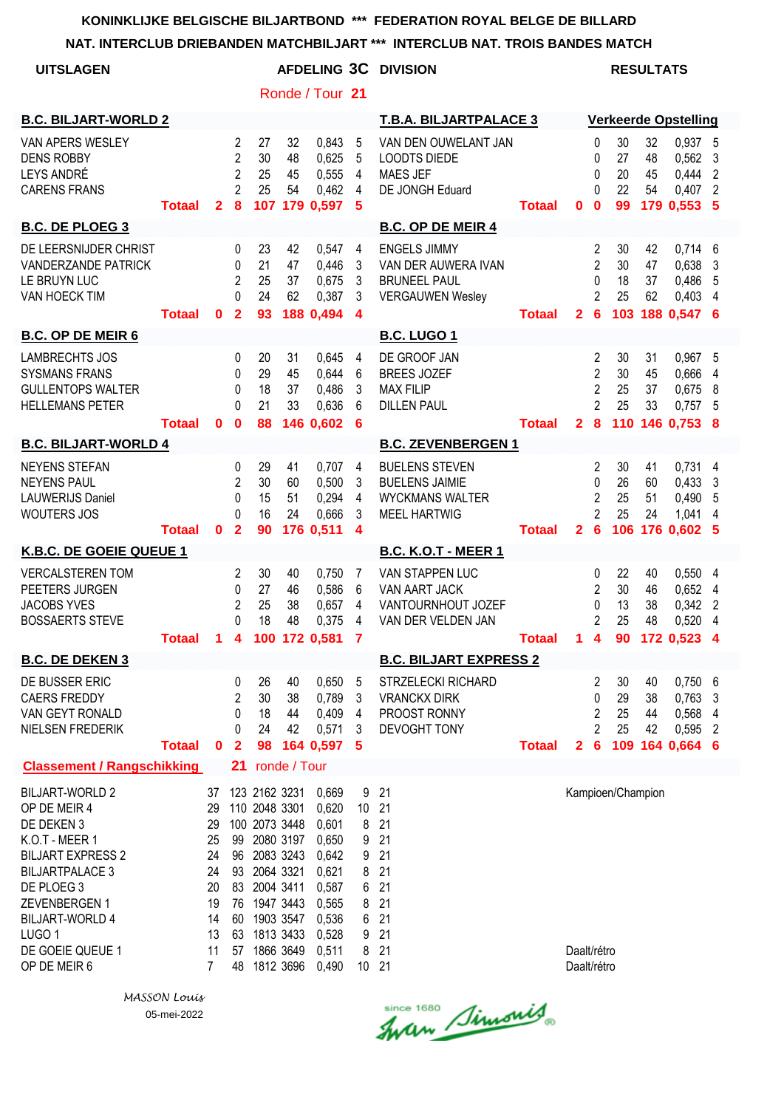| NAT. INTERCLUB DRIEBANDEN MATCHBILJART                                                                                                                                                                                                         |               |                                                                     |                                                                           |                                                                                                                                                                                              |                      |                                                                                                          |                                                      | $x \times x$<br>INTERCLUB NAT. TROIS BANDES MATCH                                               |               |                            |                                                                           |                             |                      |                                                       |                                       |
|------------------------------------------------------------------------------------------------------------------------------------------------------------------------------------------------------------------------------------------------|---------------|---------------------------------------------------------------------|---------------------------------------------------------------------------|----------------------------------------------------------------------------------------------------------------------------------------------------------------------------------------------|----------------------|----------------------------------------------------------------------------------------------------------|------------------------------------------------------|-------------------------------------------------------------------------------------------------|---------------|----------------------------|---------------------------------------------------------------------------|-----------------------------|----------------------|-------------------------------------------------------|---------------------------------------|
| <b>UITSLAGEN</b>                                                                                                                                                                                                                               |               |                                                                     |                                                                           |                                                                                                                                                                                              |                      |                                                                                                          |                                                      | AFDELING 3C DIVISION                                                                            |               |                            |                                                                           |                             | <b>RESULTATS</b>     |                                                       |                                       |
|                                                                                                                                                                                                                                                |               |                                                                     |                                                                           |                                                                                                                                                                                              |                      | Ronde / Tour 21                                                                                          |                                                      |                                                                                                 |               |                            |                                                                           |                             |                      |                                                       |                                       |
| <b>B.C. BILJART-WORLD 2</b>                                                                                                                                                                                                                    |               |                                                                     |                                                                           |                                                                                                                                                                                              |                      |                                                                                                          |                                                      | <b>T.B.A. BILJARTPALACE 3</b>                                                                   |               |                            |                                                                           |                             |                      | <b>Verkeerde Opstelling</b>                           |                                       |
| VAN APERS WESLEY<br><b>DENS ROBBY</b><br><b>LEYS ANDRÉ</b><br><b>CARENS FRANS</b>                                                                                                                                                              | <b>Totaal</b> | $\mathbf{2}$                                                        | $\overline{c}$<br>$\overline{2}$<br>$\overline{2}$<br>$\overline{2}$<br>8 | 27<br>30<br>25<br>25                                                                                                                                                                         | 32<br>48<br>45<br>54 | 0,843<br>0,625<br>0,555<br>0,462<br>107 179 0,597                                                        | 5<br>5<br>4<br>4<br>5                                | VAN DEN OUWELANT JAN<br><b>LOODTS DIEDE</b><br><b>MAES JEF</b><br>DE JONGH Eduard               | Totaal        | $\bf{0}$                   | 0<br>0<br>0<br>0<br>$\bf{0}$                                              | 30<br>27<br>20<br>22<br>99  | 32<br>48<br>45<br>54 | 0,937 5<br>0,562<br>0,444<br>0,407<br>179 0,553 5     | 3<br>$\overline{2}$<br>$\overline{2}$ |
| <b>B.C. DE PLOEG 3</b>                                                                                                                                                                                                                         |               |                                                                     |                                                                           |                                                                                                                                                                                              |                      |                                                                                                          |                                                      | <b>B.C. OP DE MEIR 4</b>                                                                        |               |                            |                                                                           |                             |                      |                                                       |                                       |
| DE LEERSNIJDER CHRIST<br><b>VANDERZANDE PATRICK</b><br>LE BRUYN LUC<br>VAN HOECK TIM                                                                                                                                                           | <b>Totaal</b> | 0                                                                   | 0<br>0<br>2<br>0<br>$\mathbf{2}$                                          | 23<br>21<br>25<br>24<br>93                                                                                                                                                                   | 42<br>47<br>37<br>62 | 0,547<br>0,446<br>0,675<br>0,387<br>188 0,494                                                            | 4<br>3<br>3<br>3<br>$\boldsymbol{4}$                 | <b>ENGELS JIMMY</b><br>VAN DER AUWERA IVAN<br><b>BRUNEEL PAUL</b><br><b>VERGAUWEN Wesley</b>    | <b>Totaal</b> | $\mathbf{2}$               | 2<br>$\overline{2}$<br>0<br>$\overline{2}$<br>6                           | 30<br>30<br>18<br>25<br>103 | 42<br>47<br>37<br>62 | 0,714<br>0,638<br>0,486<br>0,403<br>188 0,547 6       | 6<br>3<br>5<br>4                      |
| <b>B.C. OP DE MEIR 6</b>                                                                                                                                                                                                                       |               |                                                                     |                                                                           |                                                                                                                                                                                              |                      |                                                                                                          |                                                      | <b>B.C. LUGO 1</b>                                                                              |               |                            |                                                                           |                             |                      |                                                       |                                       |
| <b>LAMBRECHTS JOS</b><br><b>SYSMANS FRANS</b><br><b>GULLENTOPS WALTER</b><br><b>HELLEMANS PETER</b>                                                                                                                                            | <b>Totaal</b> | $\mathbf{0}$                                                        | 0<br>0<br>0<br>0<br>$\mathbf 0$                                           | 20<br>29<br>18<br>21<br>88                                                                                                                                                                   | 31<br>45<br>37<br>33 | 0,645<br>0,644<br>0,486<br>0,636<br>146 0,602                                                            | 4<br>6<br>3<br>6<br>6                                | DE GROOF JAN<br><b>BREES JOZEF</b><br><b>MAX FILIP</b><br><b>DILLEN PAUL</b>                    | <b>Totaal</b> | $\overline{2}$             | $\overline{2}$<br>$\overline{2}$<br>$\overline{2}$<br>$\overline{2}$<br>8 | 30<br>30<br>25<br>25<br>110 | 31<br>45<br>37<br>33 | 0,967<br>0,666<br>0,675<br>0,757<br>146 0.753 8       | 5<br>4<br>8<br>5                      |
| <b>B.C. BILJART-WORLD 4</b>                                                                                                                                                                                                                    |               |                                                                     |                                                                           |                                                                                                                                                                                              |                      |                                                                                                          |                                                      | <b>B.C. ZEVENBERGEN 1</b>                                                                       |               |                            |                                                                           |                             |                      |                                                       |                                       |
| <b>NEYENS STEFAN</b><br><b>NEYENS PAUL</b><br><b>LAUWERIJS Daniel</b><br><b>WOUTERS JOS</b>                                                                                                                                                    | <b>Totaal</b> | 0                                                                   | 0<br>$\overline{\mathbf{c}}$<br>$\mathbf 0$<br>0<br>$\mathbf{2}$          | 29<br>30<br>15<br>16<br>90                                                                                                                                                                   | 41<br>60<br>51<br>24 | 0,707<br>0,500<br>0,294<br>0,666<br>176 0,511                                                            | 4<br>3<br>4<br>3<br>4                                | <b>BUELENS STEVEN</b><br><b>BUELENS JAIMIE</b><br><b>WYCKMANS WALTER</b><br><b>MEEL HARTWIG</b> | <b>Totaal</b> | $\mathbf{2}$               | 2<br>0<br>$\overline{2}$<br>$\overline{2}$<br>$6\phantom{1}6$             | 30<br>26<br>25<br>25<br>106 | 41<br>60<br>51<br>24 | $0,731$ 4<br>0,433<br>0,490<br>1,041<br>176 0.602     | 3<br>5<br>4<br>- 5                    |
| K.B.C. DE GOEIE QUEUE 1                                                                                                                                                                                                                        |               |                                                                     |                                                                           |                                                                                                                                                                                              |                      |                                                                                                          |                                                      | <b>B.C. K.O.T - MEER 1</b>                                                                      |               |                            |                                                                           |                             |                      |                                                       |                                       |
| <b>VERCALSTEREN TOM</b><br>PEETERS JURGEN<br><b>JACOBS YVES</b><br><b>BOSSAERTS STEVE</b>                                                                                                                                                      | <b>Totaal</b> |                                                                     | 2<br>0<br>2<br>0                                                          | 30<br>27<br>25<br>18                                                                                                                                                                         | 40<br>46<br>38<br>48 | 0,750<br>0,586<br>0,657<br>0,375<br>1 4 100 172 0,581 7                                                  | 7<br>6<br>4<br>4                                     | <b>VAN STAPPEN LUC</b><br>VAN AART JACK<br>VANTOURNHOUT JOZEF<br>VAN DER VELDEN JAN             | <b>Totaal</b> |                            | 0<br>2<br>0<br>2<br>$1 \quad 4$                                           | 22<br>30<br>13<br>25        | 40<br>46<br>38<br>48 | 0,5504<br>0,652<br>0,342<br>0,520 4<br>90 172 0,523 4 | 4<br>$\overline{2}$                   |
| <b>B.C. DE DEKEN 3</b>                                                                                                                                                                                                                         |               |                                                                     |                                                                           |                                                                                                                                                                                              |                      |                                                                                                          |                                                      | <b>B.C. BILJART EXPRESS 2</b>                                                                   |               |                            |                                                                           |                             |                      |                                                       |                                       |
| DE BUSSER ERIC<br><b>CAERS FREDDY</b><br>VAN GEYT RONALD<br>NIELSEN FREDERIK                                                                                                                                                                   | <b>Totaal</b> | $\mathbf 0$                                                         | 0<br>2<br>0<br>0<br>$\overline{2}$                                        | 26<br>30<br>18<br>24<br>98                                                                                                                                                                   | 40<br>38<br>44<br>42 | 0,650<br>0,789<br>0,409<br>0,571<br>164 0,597                                                            | 5<br>3<br>4<br>3<br>-5                               | <b>STRZELECKI RICHARD</b><br><b>VRANCKX DIRK</b><br>PROOST RONNY<br><b>DEVOGHT TONY</b>         | <b>Totaal</b> | $\overline{2}$             | 2<br>0<br>2<br>$\overline{c}$<br>6                                        | 30<br>29<br>25<br>25        | 40<br>38<br>44<br>42 | 0,750<br>0,763<br>0,568<br>0,595<br>109 164 0.664 6   | 6<br>3<br>4<br>2                      |
| <b>Classement / Rangschikking</b>                                                                                                                                                                                                              |               |                                                                     |                                                                           | 21 ronde / Tour                                                                                                                                                                              |                      |                                                                                                          |                                                      |                                                                                                 |               |                            |                                                                           |                             |                      |                                                       |                                       |
| <b>BILJART-WORLD 2</b><br>OP DE MEIR 4<br>DE DEKEN 3<br>K.O.T - MEER 1<br><b>BILJART EXPRESS 2</b><br><b>BILJARTPALACE 3</b><br>DE PLOEG 3<br>ZEVENBERGEN 1<br><b>BILJART-WORLD 4</b><br>LUGO <sub>1</sub><br>DE GOEIE QUEUE 1<br>OP DE MEIR 6 |               | 37<br>29<br>29<br>25<br>24<br>24<br>20<br>19<br>14<br>13<br>11<br>7 | 48                                                                        | 123 2162 3231<br>110 2048 3301<br>100 2073 3448<br>99 2080 3197<br>96 2083 3243<br>93 2064 3321<br>83 2004 3411<br>76 1947 3443<br>60 1903 3547<br>63 1813 3433<br>57 1866 3649<br>1812 3696 |                      | 0,669<br>0,620<br>0,601<br>0,650<br>0,642<br>0,621<br>0,587<br>0,565<br>0,536<br>0,528<br>0,511<br>0,490 | 9<br>10<br>8<br>9<br>9<br>8<br>6<br>8<br>6<br>9<br>8 | 21<br>21<br>21<br>21<br>21<br>21<br>21<br>21<br>21<br>21<br>21<br>10 21                         |               | Daalt/rétro<br>Daalt/rétro |                                                                           | Kampioen/Champion           |                      |                                                       |                                       |

*MASSON Louis* 05-mei-2022

since 1680 Simonis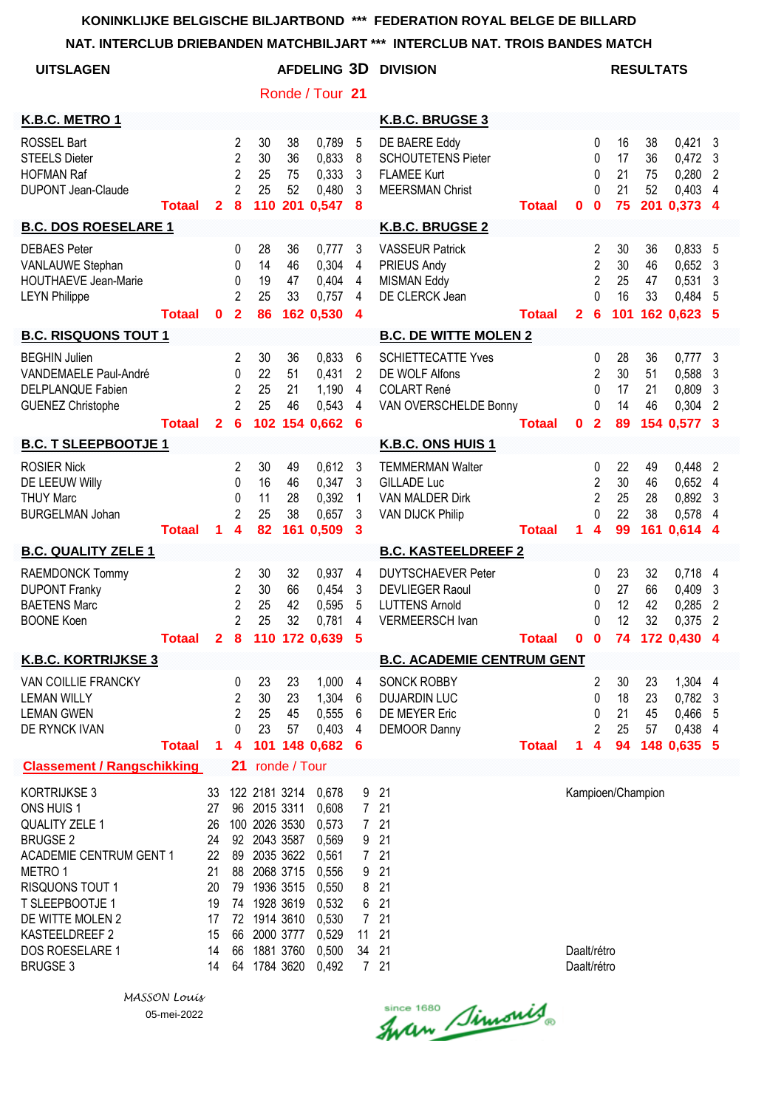| NAI. INTERULUB DRIEBANDEN MATUHBILJAR I                                                                                                                                                                                                      |               |                                                                      |                                                                        |                                                                                                                                                                       |                             |                                                                                                          |                                                                                                      | <b>INTERCLUB NAT. TRUIS BANDES MATCH</b>                                                               |               |                            |                                                                       |                             |                             |                                                        |                                                 |
|----------------------------------------------------------------------------------------------------------------------------------------------------------------------------------------------------------------------------------------------|---------------|----------------------------------------------------------------------|------------------------------------------------------------------------|-----------------------------------------------------------------------------------------------------------------------------------------------------------------------|-----------------------------|----------------------------------------------------------------------------------------------------------|------------------------------------------------------------------------------------------------------|--------------------------------------------------------------------------------------------------------|---------------|----------------------------|-----------------------------------------------------------------------|-----------------------------|-----------------------------|--------------------------------------------------------|-------------------------------------------------|
| <b>UITSLAGEN</b>                                                                                                                                                                                                                             |               |                                                                      |                                                                        |                                                                                                                                                                       |                             | AFDELING 3D                                                                                              |                                                                                                      | <b>DIVISION</b>                                                                                        |               |                            |                                                                       |                             | <b>RESULTATS</b>            |                                                        |                                                 |
|                                                                                                                                                                                                                                              |               |                                                                      |                                                                        |                                                                                                                                                                       |                             | Ronde / Tour 21                                                                                          |                                                                                                      |                                                                                                        |               |                            |                                                                       |                             |                             |                                                        |                                                 |
| K.B.C. METRO 1                                                                                                                                                                                                                               |               |                                                                      |                                                                        |                                                                                                                                                                       |                             |                                                                                                          |                                                                                                      | <b>K.B.C. BRUGSE 3</b>                                                                                 |               |                            |                                                                       |                             |                             |                                                        |                                                 |
| <b>ROSSEL Bart</b><br><b>STEELS Dieter</b><br><b>HOFMAN Raf</b><br><b>DUPONT Jean-Claude</b>                                                                                                                                                 | <b>Totaal</b> | $\overline{2}$                                                       | 2<br>$\overline{2}$<br>$\overline{2}$<br>$\overline{2}$<br>8           | 30<br>30<br>25<br>25<br>110                                                                                                                                           | 38<br>36<br>75<br>52<br>201 | 0,789<br>0,833<br>0,333<br>0,480<br>0,547                                                                | 5<br>8<br>3<br>3<br>8                                                                                | DE BAERE Eddy<br><b>SCHOUTETENS Pieter</b><br><b>FLAMEE Kurt</b><br><b>MEERSMAN Christ</b>             | <b>Totaal</b> | 0                          | 0<br>0<br>$\mathbf{0}$<br>0<br>$\bf{0}$                               | 16<br>17<br>21<br>21<br>75  | 38<br>36<br>75<br>52<br>201 | 0,421<br>0,472<br>0,280<br>0,403<br>0,373              | 3<br>3<br>2<br>$\overline{4}$<br>- 4            |
| <b>B.C. DOS ROESELARE 1</b>                                                                                                                                                                                                                  |               |                                                                      |                                                                        |                                                                                                                                                                       |                             |                                                                                                          |                                                                                                      | K.B.C. BRUGSE 2                                                                                        |               |                            |                                                                       |                             |                             |                                                        |                                                 |
| <b>DEBAES</b> Peter<br>VANLAUWE Stephan<br><b>HOUTHAEVE Jean-Marie</b><br><b>LEYN Philippe</b>                                                                                                                                               | <b>Totaal</b> | $\mathbf{0}$                                                         | 0<br>0<br>0<br>2<br>$\overline{\mathbf{2}}$                            | 28<br>14<br>19<br>25<br>86                                                                                                                                            | 36<br>46<br>47<br>33        | 0,777<br>0,304<br>0,404<br>0,757<br>162 0.530                                                            | 3<br>4<br>$\overline{\mathbf{4}}$<br>4<br>$\overline{\mathbf{4}}$                                    | <b>VASSEUR Patrick</b><br><b>PRIEUS Andy</b><br><b>MISMAN Eddy</b><br>DE CLERCK Jean                   | <b>Totaal</b> | $\mathbf{2}$               | 2<br>$\overline{2}$<br>$\overline{2}$<br>$\mathbf 0$<br>6             | 30<br>30<br>25<br>16<br>101 | 36<br>46<br>47<br>33        | 0,833<br>0,652<br>0,531<br>0,484<br>162 0,623          | 5<br>3<br>3<br>5<br>5                           |
| <b>B.C. RISQUONS TOUT 1</b>                                                                                                                                                                                                                  |               |                                                                      |                                                                        |                                                                                                                                                                       |                             |                                                                                                          |                                                                                                      | <b>B.C. DE WITTE MOLEN 2</b>                                                                           |               |                            |                                                                       |                             |                             |                                                        |                                                 |
| <b>BEGHIN Julien</b><br><b>VANDEMAELE Paul-André</b><br>DELPLANQUE Fabien<br><b>GUENEZ Christophe</b>                                                                                                                                        | <b>Totaal</b> | $\mathbf{2}$                                                         | $\overline{2}$<br>$\mathbf 0$<br>$\overline{2}$<br>$\overline{2}$<br>6 | 30<br>22<br>25<br>25<br>102                                                                                                                                           | 36<br>51<br>21<br>46        | 0,833<br>0,431<br>1,190<br>0,543<br>154 0,662                                                            | 6<br>$\overline{2}$<br>4<br>4<br>6                                                                   | <b>SCHIETTECATTE Yves</b><br><b>DE WOLF Alfons</b><br><b>COLART René</b><br>VAN OVERSCHELDE Bonny      | <b>Totaal</b> | 0                          | 0<br>$\overline{2}$<br>0<br>0<br>$\overline{\mathbf{2}}$              | 28<br>30<br>17<br>14<br>89  | 36<br>51<br>21<br>46        | 0,777<br>0,588<br>0,809<br>0,304<br>154 0,577          | $\mathbf{3}$<br>3<br>3<br>2<br>3                |
| <b>B.C. T SLEEPBOOTJE 1</b>                                                                                                                                                                                                                  |               |                                                                      |                                                                        |                                                                                                                                                                       |                             |                                                                                                          |                                                                                                      | K.B.C. ONS HUIS 1                                                                                      |               |                            |                                                                       |                             |                             |                                                        |                                                 |
| <b>ROSIER Nick</b><br>DE LEEUW Willy<br><b>THUY Marc</b><br><b>BURGELMAN Johan</b>                                                                                                                                                           | <b>Totaal</b> | 1                                                                    | 2<br>$\mathbf{0}$<br>0<br>$\overline{2}$<br>4                          | 30<br>16<br>11<br>25<br>82                                                                                                                                            | 49<br>46<br>28<br>38<br>161 | 0,612<br>0,347<br>0,392<br>0,657<br>0,509                                                                | 3<br>3<br>1<br>3<br>3                                                                                | <b>TEMMERMAN Walter</b><br>GILLADE Luc<br><b>VAN MALDER Dirk</b><br><b>VAN DIJCK Philip</b>            | <b>Totaal</b> | 1                          | 0<br>$\overline{2}$<br>$\overline{2}$<br>$\Omega$<br>$\boldsymbol{4}$ | 22<br>30<br>25<br>22<br>99  | 49<br>46<br>28<br>38<br>161 | 0,448<br>0,652<br>0,892<br>0,578<br>0,614              | $\overline{2}$<br>4<br>3<br>$\overline{4}$<br>4 |
| <b>B.C. QUALITY ZELE 1</b>                                                                                                                                                                                                                   |               |                                                                      |                                                                        |                                                                                                                                                                       |                             |                                                                                                          |                                                                                                      | <b>B.C. KASTEELDREEF 2</b>                                                                             |               |                            |                                                                       |                             |                             |                                                        |                                                 |
| RAEMDONCK Tommy<br><b>DUPONT Franky</b><br><b>BAETENS Marc</b><br><b>BOONE Koen</b>                                                                                                                                                          |               |                                                                      | $\overline{c}$<br>$\overline{2}$<br>$\overline{2}$<br>$\overline{2}$   | 30<br>30<br>25<br>25                                                                                                                                                  | 32<br>66<br>42<br>32        | 0,937<br>0,454<br>0,595<br>0,781<br>Totaal 2 8 110 172 0,639 5                                           | $\overline{4}$<br>3<br>5<br>4                                                                        | <b>DUYTSCHAEVER Peter</b><br><b>DEVLIEGER Raoul</b><br><b>LUTTENS Arnold</b><br><b>VERMEERSCH Ivan</b> | <b>Totaal</b> |                            | 0<br>0<br>0<br>0                                                      | 23<br>27<br>12<br>12        | 32<br>66<br>42<br>32        | 0,718<br>0,409<br>0,285<br>0,375<br>0 0 74 172 0,430 4 | 4<br>3<br>$\overline{2}$<br>$\overline{2}$      |
| <b>K.B.C. KORTRIJKSE 3</b>                                                                                                                                                                                                                   |               |                                                                      |                                                                        |                                                                                                                                                                       |                             |                                                                                                          |                                                                                                      | <b>B.C. ACADEMIE CENTRUM GENT</b>                                                                      |               |                            |                                                                       |                             |                             |                                                        |                                                 |
| VAN COILLIE FRANCKY<br><b>LEMAN WILLY</b><br><b>LEMAN GWEN</b><br>DE RYNCK IVAN                                                                                                                                                              | <b>Totaal</b> | 1                                                                    | 0<br>$\overline{c}$<br>$\overline{c}$<br>0<br>4                        | 23<br>30<br>25<br>23<br>101                                                                                                                                           | 23<br>23<br>45<br>57        | 1,000<br>1,304<br>0,555<br>0,403<br>148 0,682                                                            | 4<br>6<br>6<br>4<br>6                                                                                | <b>SONCK ROBBY</b><br><b>DUJARDIN LUC</b><br>DE MEYER Eric<br><b>DEMOOR Danny</b>                      | <b>Totaal</b> | 1                          | $\overline{2}$<br>0<br>0<br>$\overline{2}$<br>4                       | 30<br>18<br>21<br>25<br>94  | 23<br>23<br>45<br>57        | 1,304 4<br>0,782<br>0,466<br>0,438<br>148 0.635 5      | $\mathbf{3}$<br>5<br>4                          |
| <b>Classement / Rangschikking</b>                                                                                                                                                                                                            |               |                                                                      | 21                                                                     |                                                                                                                                                                       | ronde / Tour                |                                                                                                          |                                                                                                      |                                                                                                        |               |                            |                                                                       |                             |                             |                                                        |                                                 |
| KORTRIJKSE 3<br>ONS HUIS 1<br><b>QUALITY ZELE 1</b><br><b>BRUGSE 2</b><br><b>ACADEMIE CENTRUM GENT 1</b><br>METRO 1<br><b>RISQUONS TOUT 1</b><br>T SLEEPBOOTJE 1<br>DE WITTE MOLEN 2<br>KASTEELDREEF 2<br>DOS ROESELARE 1<br><b>BRUGSE 3</b> |               | 33<br>27<br>26<br>24<br>22<br>21<br>20<br>19<br>17<br>15<br>14<br>14 | 74<br>66<br>66<br>64                                                   | 122 2181 3214<br>96 2015 3311<br>100 2026 3530<br>92 2043 3587<br>89 2035 3622<br>88 2068 3715<br>79 1936 3515<br>1928 3619<br>72 1914 3610<br>2000 3777<br>1881 3760 | 1784 3620                   | 0,678<br>0,608<br>0,573<br>0,569<br>0,561<br>0,556<br>0,550<br>0,532<br>0,530<br>0,529<br>0,500<br>0,492 | 9<br>7 <sup>7</sup><br>$7\overline{ }$<br>9<br>7 <sup>7</sup><br>9<br>8<br>6<br>7 <sup>7</sup><br>11 | 21<br>21<br>21<br>21<br>21<br>21<br>21<br>21<br>21<br>21<br>34 21<br>7 21                              |               | Daalt/rétro<br>Daalt/rétro |                                                                       |                             | Kampioen/Champion           |                                                        |                                                 |

*MASSON Louis* 05-mei-2022

since 1680 Simonis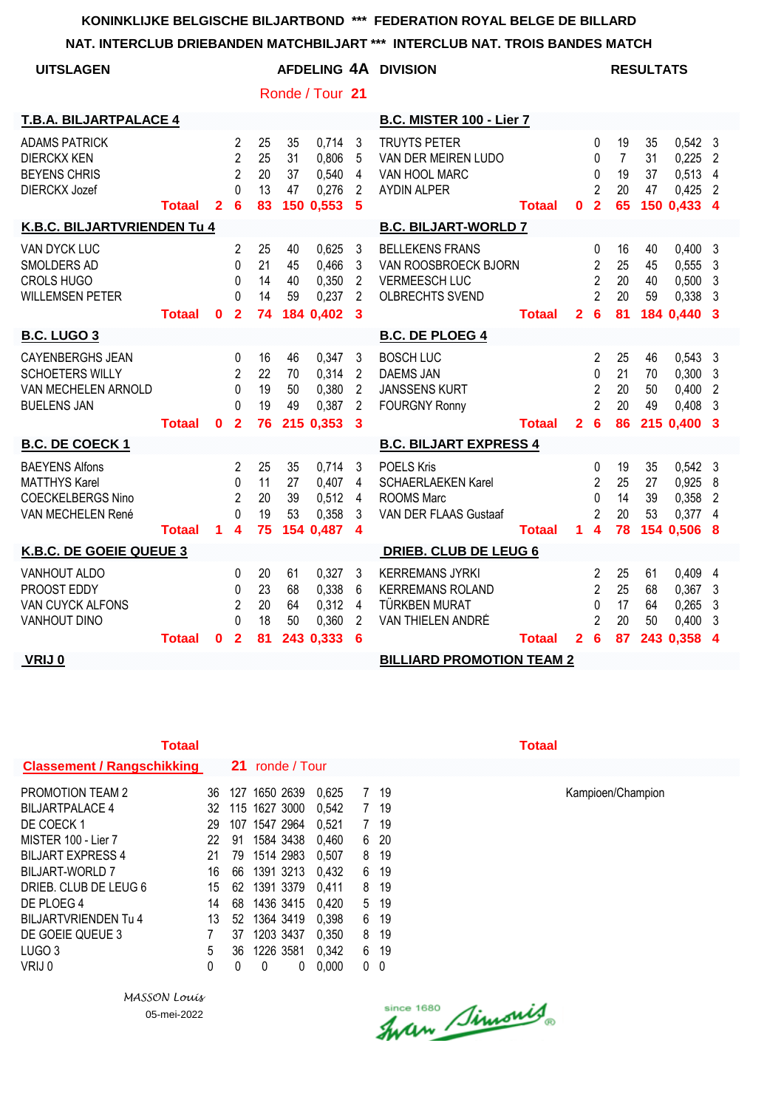#### **NAT. INTERCLUB DRIEBANDEN MATCHBILJART \*\*\* INTERCLUB NAT. TROIS BANDES MATCH**

| <b>UITSLAGEN</b>                                                                               |               |              |                                                                     |                            |                             | Ronde / Tour 21                               |                                                                       | AFDELING 4A DIVISION                                                                             |               |                |                                                                            |                                        | <b>RESULTATS</b>     |                                                       |                                                    |
|------------------------------------------------------------------------------------------------|---------------|--------------|---------------------------------------------------------------------|----------------------------|-----------------------------|-----------------------------------------------|-----------------------------------------------------------------------|--------------------------------------------------------------------------------------------------|---------------|----------------|----------------------------------------------------------------------------|----------------------------------------|----------------------|-------------------------------------------------------|----------------------------------------------------|
| <b>T.B.A. BILJARTPALACE 4</b>                                                                  |               |              |                                                                     |                            |                             |                                               |                                                                       | <b>B.C. MISTER 100 - Lier 7</b>                                                                  |               |                |                                                                            |                                        |                      |                                                       |                                                    |
| <b>ADAMS PATRICK</b><br><b>DIERCKX KEN</b><br><b>BEYENS CHRIS</b><br><b>DIERCKX Jozef</b>      | Totaal        | $\mathbf{2}$ | $\overline{2}$<br>$\overline{2}$<br>$\overline{2}$<br>$\Omega$<br>6 | 25<br>25<br>20<br>13<br>83 | 35<br>31<br>37<br>47        | 0,714<br>0,806<br>0,540<br>0,276<br>150 0,553 | 3<br>5<br>$\overline{4}$<br>2<br>$5\phantom{1}$                       | <b>TRUYTS PETER</b><br>VAN DER MEIREN LUDO<br>VAN HOOL MARC<br><b>AYDIN ALPER</b>                | Totaal        | $\mathbf 0$    | 0<br>$\mathbf{0}$<br>0<br>$\overline{2}$<br>$\overline{2}$                 | 19<br>$\overline{7}$<br>19<br>20<br>65 | 35<br>31<br>37<br>47 | $0,542$ 3<br>0,225<br>0,513<br>0,425<br>150 0,433 4   | $\overline{2}$<br>$\overline{4}$<br>$\overline{2}$ |
| K.B.C. BILJARTVRIENDEN Tu 4                                                                    |               |              |                                                                     |                            |                             |                                               |                                                                       | <b>B.C. BILJART-WORLD 7</b>                                                                      |               |                |                                                                            |                                        |                      |                                                       |                                                    |
| VAN DYCK LUC<br>SMOLDERS AD<br><b>CROLS HUGO</b><br><b>WILLEMSEN PETER</b>                     | <b>Totaal</b> | $\mathbf{0}$ | $\overline{2}$<br>0<br>$\Omega$<br>$\Omega$<br>$\overline{2}$       | 25<br>21<br>14<br>14<br>74 | 40<br>45<br>40<br>59        | 0,625<br>0,466<br>0,350<br>0,237<br>184 0,402 | 3<br>3<br>2<br>$\overline{2}$<br>3                                    | <b>BELLEKENS FRANS</b><br>VAN ROOSBROECK BJORN<br><b>VERMEESCH LUC</b><br><b>OLBRECHTS SVEND</b> | <b>Totaal</b> | $\mathbf{2}$   | 0<br>$\overline{2}$<br>$\overline{2}$<br>$\mathfrak{p}$<br>$6\phantom{1}6$ | 16<br>25<br>20<br>20<br>81             | 40<br>45<br>40<br>59 | $0,400$ 3<br>0,555<br>0,500<br>0,338<br>184 0.440     | 3<br>3<br>3<br>3                                   |
| <b>B.C. LUGO 3</b>                                                                             |               |              |                                                                     |                            |                             |                                               |                                                                       | <b>B.C. DE PLOEG 4</b>                                                                           |               |                |                                                                            |                                        |                      |                                                       |                                                    |
| <b>CAYENBERGHS JEAN</b><br><b>SCHOETERS WILLY</b><br>VAN MECHELEN ARNOLD<br><b>BUELENS JAN</b> | Totaal        | $\mathbf{0}$ | 0<br>$\overline{2}$<br>0<br>$\Omega$<br>$\overline{2}$              | 16<br>22<br>19<br>19<br>76 | 46<br>70<br>50<br>49        | 0,347<br>0,314<br>0,380<br>0,387<br>215 0,353 | 3<br>2<br>$\overline{2}$<br>$\overline{2}$<br>$\overline{\mathbf{3}}$ | <b>BOSCH LUC</b><br><b>DAEMS JAN</b><br><b>JANSSENS KURT</b><br><b>FOURGNY Ronny</b>             | Totaal        | $\overline{2}$ | $\overline{2}$<br>0<br>$\overline{2}$<br>$\overline{2}$<br>6               | 25<br>21<br>20<br>20<br>86             | 46<br>70<br>50<br>49 | 0,543<br>0,300<br>0,400<br>0,408<br>215 0,400         | -3<br>3<br>$\overline{2}$<br>3<br>-3               |
| <b>B.C. DE COECK1</b>                                                                          |               |              |                                                                     |                            |                             |                                               |                                                                       | <b>B.C. BILJART EXPRESS 4</b>                                                                    |               |                |                                                                            |                                        |                      |                                                       |                                                    |
| <b>BAEYENS Alfons</b><br><b>MATTHYS Karel</b><br><b>COECKELBERGS Nino</b><br>VAN MECHELEN René | Totaal        | 1            | 2<br>$\Omega$<br>$\mathfrak{p}$<br>$\Omega$<br>4                    | 25<br>11<br>20<br>19<br>75 | 35<br>27<br>39<br>53<br>154 | 0,714<br>0,407<br>0,512<br>0,358<br>0,487     | 3<br>4<br>4<br>3<br>$\boldsymbol{4}$                                  | POELS Kris<br><b>SCHAERLAEKEN Karel</b><br><b>ROOMS Marc</b><br>VAN DER FLAAS Gustaaf            | Totaal        | 1              | 0<br>$\overline{2}$<br>$\Omega$<br>$\mathfrak{p}$<br>4                     | 19<br>25<br>14<br>20<br>78             | 35<br>27<br>39<br>53 | $0,542$ 3<br>$0,925$ 8<br>0,358<br>0,377<br>154 0,506 | $\overline{2}$<br>4<br>8                           |
| K.B.C. DE GOEIE QUEUE 3                                                                        |               |              |                                                                     |                            |                             |                                               |                                                                       | <b>DRIEB. CLUB DE LEUG 6</b>                                                                     |               |                |                                                                            |                                        |                      |                                                       |                                                    |
| VANHOUT ALDO<br>PROOST EDDY<br>VAN CUYCK ALFONS<br><b>VANHOUT DINO</b>                         |               |              | $\Omega$<br>$\Omega$<br>$\overline{2}$<br>$\Omega$                  | 20<br>23<br>20<br>18       | 61<br>68<br>64<br>50        | 0,327<br>0,338<br>0,312<br>0,360              | 3<br>6<br>4<br>2                                                      | <b>KERREMANS JYRKI</b><br><b>KERREMANS ROLAND</b><br>TÜRKBEN MURAT<br>VAN THIELEN ANDRÉ          |               |                | 2<br>$\overline{2}$<br>$\Omega$<br>$\mathfrak{p}$                          | 25<br>25<br>17<br>20                   | 61<br>68<br>64<br>50 | 0,409 4<br>0,367<br>0,265<br>0,400                    | 3<br>3<br>3                                        |
| VRIJ 0                                                                                         | Totaal        | $\mathbf{0}$ | $\overline{2}$                                                      | 81                         |                             | 243 0,333                                     | 6                                                                     | <b>BILLIARD PROMOTION TEAM 2</b>                                                                 | Totaal        | $\mathbf{2}$   | 6                                                                          | 87                                     |                      | 243 0,358                                             | 4                                                  |

| l                     |                       | ı                          |                                 | ١                     |
|-----------------------|-----------------------|----------------------------|---------------------------------|-----------------------|
| ç<br>ç<br>ç<br>ç<br>ç | ٥<br>٥<br>٥<br>٥<br>٥ | ٥<br>٥<br>٥<br>٥<br>٥<br>٥ | ٥<br>٥<br>٥<br>٥<br>٥<br>ç<br>ç | ٥<br>٥<br>٥<br>ç<br>ç |

| <b>Totaal</b>                     |     |     |               |                 |       |              |     | Totaal |
|-----------------------------------|-----|-----|---------------|-----------------|-------|--------------|-----|--------|
| <b>Classement / Rangschikking</b> |     |     |               | 21 ronde / Tour |       |              |     |        |
| <b>PROMOTION TEAM 2</b>           | 36  | 127 | 1650 2639     |                 | 0.625 | 7            | 19  |        |
| <b>BILJARTPALACE 4</b>            | 32. |     | 115 1627 3000 |                 | 0,542 | 7            | 19  |        |
| DE COECK 1                        | 29  |     | 107 1547 2964 |                 | 0.521 | $\mathbf{7}$ | 19  |        |
| MISTER 100 - Lier 7               | 22  | 91  | 1584 3438     |                 | 0.460 | 6            | -20 |        |
| <b>BILJART EXPRESS 4</b>          | 21  | 79  | 1514 2983     |                 | 0.507 | 8            | 19  |        |
| <b>BILJART-WORLD 7</b>            | 16  | 66  | 1391 3213     |                 | 0,432 | 6            | 19  |        |
| DRIEB. CLUB DE LEUG 6             | 15  | 62  | 1391 3379     |                 | 0.411 | 8            | 19  |        |
| DE PLOEG 4                        | 14  | 68  | 1436 3415     |                 | 0.420 | 5            | 19  |        |
| BILJARTVRIENDEN Tu 4              | 13  | 52  | 1364 3419     |                 | 0,398 | 6            | 19  |        |
| DE GOEIE QUEUE 3                  |     | 37  | 1203 3437     |                 | 0,350 | 8            | 19  |        |
| LUGO <sub>3</sub>                 | 5   | 36  | 1226 3581     |                 | 0,342 | 6            | 19  |        |
| VRIJ 0                            | 0   | 0   | 0             | 0               | 0,000 | 0            | 0   |        |

*MASSON Louis* 05-mei-2022 Since 1680 Simonis

PROMOTION TEAM 2 36 127 1650 2639 0,625 7 19 Kampioen/Champion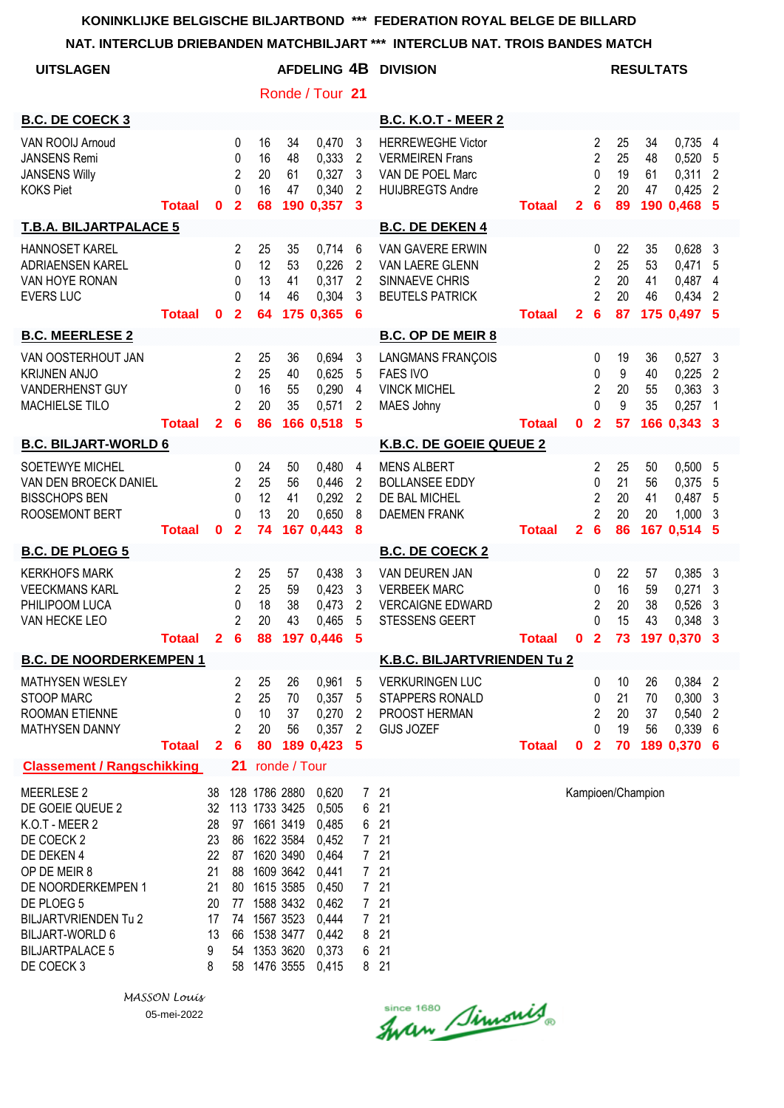| <b>UITSLAGEN</b>                                                                                                                                                                                                                         |               |                                                                    |                                                               |                                  |                                                                                                                                                                        |                                                                                                          |                                                 | AFDELING 4B DIVISION                                                                                                            |               |              |                                                                            |                                  | <b>RESULTATS</b>           |                                                           |                                                        |
|------------------------------------------------------------------------------------------------------------------------------------------------------------------------------------------------------------------------------------------|---------------|--------------------------------------------------------------------|---------------------------------------------------------------|----------------------------------|------------------------------------------------------------------------------------------------------------------------------------------------------------------------|----------------------------------------------------------------------------------------------------------|-------------------------------------------------|---------------------------------------------------------------------------------------------------------------------------------|---------------|--------------|----------------------------------------------------------------------------|----------------------------------|----------------------------|-----------------------------------------------------------|--------------------------------------------------------|
|                                                                                                                                                                                                                                          |               |                                                                    |                                                               |                                  |                                                                                                                                                                        | Ronde / Tour 21                                                                                          |                                                 |                                                                                                                                 |               |              |                                                                            |                                  |                            |                                                           |                                                        |
| <b>B.C. DE COECK 3</b>                                                                                                                                                                                                                   |               |                                                                    |                                                               |                                  |                                                                                                                                                                        |                                                                                                          |                                                 | <b>B.C. K.O.T - MEER 2</b>                                                                                                      |               |              |                                                                            |                                  |                            |                                                           |                                                        |
| VAN ROOIJ Arnoud<br><b>JANSENS Remi</b><br><b>JANSENS Willy</b><br><b>KOKS Piet</b>                                                                                                                                                      | Totaal        | $\mathbf{0}$                                                       | $\Omega$<br>$\Omega$<br>2<br>0<br>$\overline{2}$              | 16<br>16<br>20<br>16<br>68       | 34<br>48<br>61<br>47                                                                                                                                                   | 0,470<br>0,333<br>0,327<br>0,340<br>190 0,357                                                            | 3<br>2<br>3<br>2<br>3                           | <b>HERREWEGHE Victor</b><br><b>VERMEIREN Frans</b><br>VAN DE POEL Marc<br><b>HUIJBREGTS Andre</b>                               | <b>Totaal</b> | $\mathbf{2}$ | 2<br>$\overline{2}$<br>$\mathbf{0}$<br>2<br>$6\phantom{1}6$                | 25<br>25<br>19<br>20<br>89       | 34<br>48<br>61<br>47       | $0,735$ 4<br>0,520<br>0,311<br>0,425<br>190 0.468         | 5<br>2<br>2<br>5                                       |
| <b>T.B.A. BILJARTPALACE 5</b>                                                                                                                                                                                                            |               |                                                                    |                                                               |                                  |                                                                                                                                                                        |                                                                                                          |                                                 | <b>B.C. DE DEKEN 4</b>                                                                                                          |               |              |                                                                            |                                  |                            |                                                           |                                                        |
| <b>HANNOSET KAREL</b><br><b>ADRIAENSEN KAREL</b><br>VAN HOYE RONAN<br><b>EVERS LUC</b>                                                                                                                                                   | <b>Totaal</b> | $\mathbf{0}$                                                       | $\overline{2}$<br>0<br>0<br>$\Omega$<br>$\mathbf{2}$          | 25<br>12<br>13<br>14<br>64       | 35<br>53<br>41<br>46                                                                                                                                                   | 0,714<br>0,226<br>0,317<br>0,304<br>175 0,365                                                            | 6<br>$\overline{2}$<br>$\overline{2}$<br>3<br>6 | <b>VAN GAVERE ERWIN</b><br>VAN LAERE GLENN<br>SINNAEVE CHRIS<br><b>BEUTELS PATRICK</b>                                          | <b>Totaal</b> | $\mathbf{2}$ | 0<br>$\overline{2}$<br>$\overline{2}$<br>$\overline{2}$<br>$6\phantom{1}6$ | 22<br>25<br>20<br>20<br>87       | 35<br>53<br>41<br>46       | 0,628<br>0,471<br>0,487<br>0,434<br>175 0,497 5           | 3<br>5<br>4<br>2                                       |
| <b>B.C. MEERLESE 2</b>                                                                                                                                                                                                                   |               |                                                                    |                                                               |                                  |                                                                                                                                                                        |                                                                                                          |                                                 | <b>B.C. OP DE MEIR 8</b>                                                                                                        |               |              |                                                                            |                                  |                            |                                                           |                                                        |
| VAN OOSTERHOUT JAN<br><b>KRIJNEN ANJO</b><br><b>VANDERHENST GUY</b><br>MACHIELSE TILO                                                                                                                                                    | <b>Totaal</b> | $\mathbf{2}$                                                       | 2<br>$\overline{2}$<br>0<br>2<br>6                            | 25<br>25<br>16<br>20<br>86       | 36<br>40<br>55<br>35                                                                                                                                                   | 0,694<br>0,625<br>0,290<br>0,571<br>166 0,518                                                            | 3<br>5<br>4<br>2<br>5                           | <b>LANGMANS FRANÇOIS</b><br><b>FAES IVO</b><br><b>VINCK MICHEL</b><br><b>MAES Johny</b>                                         | <b>Totaal</b> | $\mathbf 0$  | 0<br>0<br>2<br>$\Omega$<br>$\overline{\mathbf{2}}$                         | 19<br>9<br>20<br>9<br>57         | 36<br>40<br>55<br>35       | 0,527<br>0,225<br>0,363<br>0,257<br>166 0,343 3           | 3<br>2<br>3<br>$\mathbf{1}$                            |
| <b>B.C. BILJART-WORLD 6</b>                                                                                                                                                                                                              |               |                                                                    |                                                               |                                  |                                                                                                                                                                        |                                                                                                          |                                                 | K.B.C. DE GOEIE QUEUE 2                                                                                                         |               |              |                                                                            |                                  |                            |                                                           |                                                        |
| <b>SOETEWYE MICHEL</b><br>VAN DEN BROECK DANIEL<br><b>BISSCHOPS BEN</b><br>ROOSEMONT BERT<br><b>B.C. DE PLOEG 5</b><br><b>KERKHOFS MARK</b>                                                                                              | <b>Totaal</b> | $\mathbf{0}$                                                       | 0<br>$\mathbf{2}$<br>0<br>0<br>$\mathbf{2}$<br>2              | 24<br>25<br>12<br>13<br>74<br>25 | 50<br>56<br>41<br>20<br>57                                                                                                                                             | 0,480<br>0,446<br>0,292<br>0,650<br>167 0,443<br>0,438                                                   | 4<br>2<br>2<br>8<br>8                           | <b>MENS ALBERT</b><br><b>BOLLANSEE EDDY</b><br>DE BAL MICHEL<br><b>DAEMEN FRANK</b><br><b>B.C. DE COECK 2</b><br>VAN DEUREN JAN | <b>Totaal</b> | 2            | 2<br>0<br>2<br>$\overline{2}$<br>6<br>0                                    | 25<br>21<br>20<br>20<br>86<br>22 | 50<br>56<br>41<br>20<br>57 | 0,500, 5<br>0,375<br>0,487<br>1,000<br>167 0,514<br>0,385 | 5<br>5<br>3<br>5                                       |
| <b>VEECKMANS KARL</b><br>PHILIPOOM LUCA<br>VAN HECKE LEO                                                                                                                                                                                 | <b>Totaal</b> | $\mathbf{2}$                                                       | $\overline{2}$<br>0<br>$\overline{2}$<br>6                    | 25<br>18<br>20<br>88             | 59<br>38<br>43                                                                                                                                                         | 0,423<br>0,473<br>0,465<br>197 0,446                                                                     | 3<br>3<br>$\overline{2}$<br>5<br>5              | <b>VERBEEK MARC</b><br><b>VERCAIGNE EDWARD</b><br><b>STESSENS GEERT</b>                                                         | <b>Totaal</b> | $\mathbf 0$  | 0<br>2<br>$\mathbf{0}$<br>$\overline{\mathbf{2}}$                          | 16<br>20<br>15<br>73             | 59<br>38<br>43             | 0,271<br>0,526<br>0,348<br>197 0,370                      | 3<br>3<br>3<br>3<br>3                                  |
| <b>B.C. DE NOORDERKEMPEN 1</b>                                                                                                                                                                                                           |               |                                                                    |                                                               |                                  |                                                                                                                                                                        |                                                                                                          |                                                 | <b>K.B.C. BILJARTVRIENDEN Tu 2</b>                                                                                              |               |              |                                                                            |                                  |                            |                                                           |                                                        |
| <b>MATHYSEN WESLEY</b><br><b>STOOP MARC</b><br><b>ROOMAN ETIENNE</b><br><b>MATHYSEN DANNY</b>                                                                                                                                            | <b>Totaal</b> | $\overline{2}$                                                     | 2<br>$\overline{c}$<br>0<br>$\overline{2}$<br>$6\phantom{1}6$ | 25<br>25<br>10<br>20<br>80       | 26<br>70<br>37<br>56                                                                                                                                                   | 0,961<br>0,357<br>0,270<br>0,357<br>189 0,423                                                            | 5<br>5<br>2<br>$\overline{2}$<br>5              | <b>VERKURINGEN LUC</b><br>STAPPERS RONALD<br>PROOST HERMAN<br>GIJS JOZEF                                                        | <b>Totaal</b> | $\mathbf 0$  | 0<br>0<br>$\overline{2}$<br>$\Omega$<br>$\overline{2}$                     | 10<br>21<br>20<br>19<br>70       | 26<br>70<br>37<br>56       | 0,384<br>0,300<br>0,540<br>0,339<br>189 0,370 6           | $\overline{2}$<br>$\mathbf{3}$<br>$\overline{2}$<br>-6 |
| <b>Classement / Rangschikking</b>                                                                                                                                                                                                        |               |                                                                    | 21                                                            |                                  | ronde / Tour                                                                                                                                                           |                                                                                                          |                                                 |                                                                                                                                 |               |              |                                                                            |                                  |                            |                                                           |                                                        |
| <b>MEERLESE 2</b><br>DE GOEIE QUEUE 2<br>K.O.T - MEER 2<br>DE COECK 2<br>DE DEKEN 4<br>OP DE MEIR 8<br>DE NOORDERKEMPEN 1<br>DE PLOEG 5<br><b>BILJARTVRIENDEN Tu 2</b><br><b>BILJART-WORLD 6</b><br><b>BILJARTPALACE 5</b><br>DE COECK 3 |               | 38<br>32<br>28<br>23<br>22<br>21<br>21<br>20<br>17<br>13<br>9<br>8 | 97<br>86<br>88<br>77<br>74<br>66<br>54<br>58                  |                                  | 128 1786 2880<br>113 1733 3425<br>1661 3419<br>1622 3584<br>87 1620 3490<br>1609 3642<br>80 1615 3585<br>1588 3432<br>1567 3523<br>1538 3477<br>1353 3620<br>1476 3555 | 0,620<br>0,505<br>0,485<br>0,452<br>0,464<br>0,441<br>0,450<br>0,462<br>0,444<br>0,442<br>0,373<br>0,415 | 7<br>6<br>6<br>$\overline{7}$<br>8<br>6<br>8    | 21<br>21<br>21<br>721<br>721<br>721<br>721<br>721<br>21<br>21<br>21<br>21                                                       |               |              |                                                                            |                                  | Kampioen/Champion          |                                                           |                                                        |

*MASSON Louis* 05-mei-2022

Since 1680 Simonis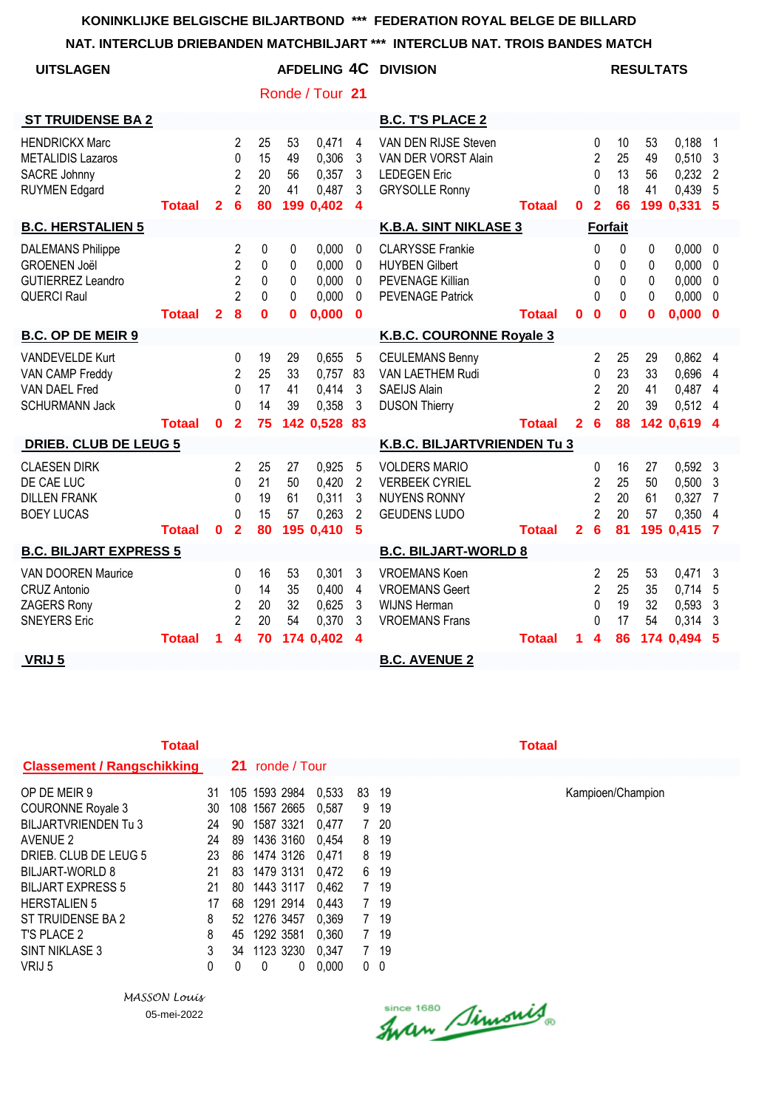**NAT. INTERCLUB DRIEBANDEN MATCHBILJART \*\*\* INTERCLUB NAT. TROIS BANDES MATCH**

| <b>UITSLAGEN</b>                                                                                  |               |                |                                                              |                                     |                       | <b>AFDELING 4C</b>                            |                                      | <b>DIVISION</b>                                                                                 |               |                |                                                                        |                            | <b>RESULTATS</b>      |                                                 |                                                  |
|---------------------------------------------------------------------------------------------------|---------------|----------------|--------------------------------------------------------------|-------------------------------------|-----------------------|-----------------------------------------------|--------------------------------------|-------------------------------------------------------------------------------------------------|---------------|----------------|------------------------------------------------------------------------|----------------------------|-----------------------|-------------------------------------------------|--------------------------------------------------|
|                                                                                                   |               |                |                                                              |                                     |                       | Ronde / Tour 21                               |                                      |                                                                                                 |               |                |                                                                        |                            |                       |                                                 |                                                  |
| <b>ST TRUIDENSE BA 2</b>                                                                          |               |                |                                                              |                                     |                       |                                               |                                      | <b>B.C. T'S PLACE 2</b>                                                                         |               |                |                                                                        |                            |                       |                                                 |                                                  |
| <b>HENDRICKX Marc</b><br><b>METALIDIS Lazaros</b><br>SACRE Johnny<br><b>RUYMEN Edgard</b>         | <b>Totaal</b> | $\overline{2}$ | 2<br>$\Omega$<br>$\overline{2}$<br>$\overline{2}$<br>6       | 25<br>15<br>20<br>20<br>80          | 53<br>49<br>56<br>41  | 0,471<br>0,306<br>0,357<br>0,487<br>199 0,402 | 4<br>3<br>3<br>3<br>4                | VAN DEN RIJSE Steven<br>VAN DER VORST Alain<br><b>LEDEGEN Eric</b><br><b>GRYSOLLE Ronny</b>     | <b>Totaal</b> | 0              | 0<br>$\overline{2}$<br>$\Omega$<br>$\Omega$<br>$\overline{\mathbf{2}}$ | 10<br>25<br>13<br>18<br>66 | 53<br>49<br>56<br>41  | 0,188<br>0,510<br>0,232<br>0,439<br>199 0,331 5 | 1<br>3<br>2<br>5                                 |
| <b>B.C. HERSTALIEN 5</b>                                                                          |               |                |                                                              |                                     |                       |                                               |                                      | <b>K.B.A. SINT NIKLASE 3</b>                                                                    |               |                | <b>Forfait</b>                                                         |                            |                       |                                                 |                                                  |
| <b>DALEMANS Philippe</b><br><b>GROENEN Joël</b><br><b>GUTIERREZ Leandro</b><br><b>QUERCI Raul</b> | <b>Totaal</b> | $\overline{2}$ | 2<br>$\overline{2}$<br>$\overline{2}$<br>$\overline{2}$<br>8 | 0<br>0<br>0<br>$\Omega$<br>$\bf{0}$ | 0<br>0<br>0<br>0<br>0 | 0,000<br>0,000<br>0,000<br>0,000<br>0,000     | 0<br>0<br>0<br>0<br>$\bf{0}$         | <b>CLARYSSE Frankie</b><br><b>HUYBEN Gilbert</b><br>PEVENAGE Killian<br><b>PEVENAGE Patrick</b> | <b>Totaal</b> | 0              | 0<br>$\mathbf{0}$<br>$\mathbf{0}$<br>$\Omega$<br>$\mathbf{0}$          | 0<br>0<br>0<br>0<br>0      | 0<br>0<br>0<br>0<br>0 | 0,000<br>0,000<br>0,000<br>0,000<br>0,000       | $\mathbf 0$<br>0<br>0<br>$\mathbf 0$<br>$\bf{0}$ |
| <b>B.C. OP DE MEIR 9</b>                                                                          |               |                |                                                              |                                     |                       |                                               |                                      | K.B.C. COURONNE Royale 3                                                                        |               |                |                                                                        |                            |                       |                                                 |                                                  |
| <b>VANDEVELDE Kurt</b><br>VAN CAMP Freddy<br>VAN DAEL Fred<br><b>SCHURMANN Jack</b>               |               |                | 0<br>$\overline{2}$<br>$\Omega$<br>$\Omega$                  | 19<br>25<br>17<br>14                | 29<br>33<br>41<br>39  | 0,655<br>0,757<br>0,414<br>0,358              | 5<br>83<br>3<br>3                    | <b>CEULEMANS Benny</b><br>VAN LAETHEM Rudi<br><b>SAEIJS Alain</b><br><b>DUSON Thierry</b>       |               |                | 2<br>0<br>$\overline{c}$<br>$\overline{2}$                             | 25<br>23<br>20<br>20       | 29<br>33<br>41<br>39  | 0,862<br>0,696<br>0,487<br>0,512                | 4<br>4<br>4<br>4                                 |
|                                                                                                   | <b>Totaal</b> | $\mathbf{0}$   | $\overline{2}$                                               | 75                                  |                       | 142 0,528                                     | 83                                   |                                                                                                 | <b>Totaal</b> | $\overline{2}$ | $6\phantom{1}6$                                                        | 88                         |                       | 142 0.619 4                                     |                                                  |
| <b>DRIEB. CLUB DE LEUG 5</b>                                                                      |               |                |                                                              |                                     |                       |                                               |                                      | K.B.C. BILJARTVRIENDEN Tu 3                                                                     |               |                |                                                                        |                            |                       |                                                 |                                                  |
| <b>CLAESEN DIRK</b><br>DE CAE LUC<br><b>DILLEN FRANK</b><br><b>BOEY LUCAS</b>                     | <b>Totaal</b> | $\mathbf{0}$   | $\mathbf{2}$<br>$\Omega$<br>0<br>$\Omega$<br>$\overline{2}$  | 25<br>21<br>19<br>15<br>80          | 27<br>50<br>61<br>57  | 0,925<br>0,420<br>0,311<br>0,263<br>195 0,410 | 5<br>2<br>3<br>$\overline{2}$<br>5   | <b>VOLDERS MARIO</b><br><b>VERBEEK CYRIEL</b><br><b>NUYENS RONNY</b><br><b>GEUDENS LUDO</b>     | <b>Totaal</b> | $\mathbf{2}$   | $\Omega$<br>2<br>$\overline{2}$<br>$\overline{2}$<br>6                 | 16<br>25<br>20<br>20<br>81 | 27<br>50<br>61<br>57  | 0,592<br>0,500<br>0,327<br>0,350<br>195 0,415   | 3<br>3<br>7<br>4<br>7                            |
| <b>B.C. BILJART EXPRESS 5</b>                                                                     |               |                |                                                              |                                     |                       |                                               |                                      | <b>B.C. BILJART-WORLD 8</b>                                                                     |               |                |                                                                        |                            |                       |                                                 |                                                  |
| VAN DOOREN Maurice<br><b>CRUZ Antonio</b><br>ZAGERS Rony<br><b>SNEYERS Eric</b>                   |               |                | 0<br>0<br>$\overline{2}$<br>$\overline{2}$<br>4              | 16<br>14<br>20<br>20<br>70          | 53<br>35<br>32<br>54  | 0,301<br>0,400<br>0,625<br>0,370              | 3<br>4<br>3<br>3<br>$\boldsymbol{4}$ | <b>VROEMANS Koen</b><br><b>VROEMANS Geert</b><br><b>WIJNS Herman</b><br><b>VROEMANS Frans</b>   |               |                | 2<br>$\overline{2}$<br>$\Omega$<br>$\Omega$<br>4                       | 25<br>25<br>19<br>17       | 53<br>35<br>32<br>54  | 0,471<br>0,714<br>0,593<br>0,314                | 3<br>5<br>3<br>3                                 |
| VRIJ 5                                                                                            | <b>Totaal</b> | 1              |                                                              |                                     |                       | 174 0,402                                     |                                      | <b>B.C. AVENUE 2</b>                                                                            | <b>Totaal</b> | 1.             |                                                                        | 86                         |                       | 174 0,494                                       | 5                                                |

| <b>Totaal</b>                     |     |     |                 |   |       |                |      | <b>Totaal</b> |
|-----------------------------------|-----|-----|-----------------|---|-------|----------------|------|---------------|
| <b>Classement / Rangschikking</b> |     |     | 21 ronde / Tour |   |       |                |      |               |
| OP DE MEIR 9                      | 31  |     | 105 1593 2984   |   | 0.533 | 83             | -19  |               |
| <b>COURONNE Royale 3</b>          | 30  | 108 | 1567 2665       |   | 0,587 | 9              | 19   |               |
| BILJARTVRIENDEN Tu 3              | 24  | 90  | 1587 3321       |   | 0,477 |                | 720  |               |
| AVENUE 2                          | 24  | 89  | 1436 3160       |   | 0,454 | 8              | 19   |               |
| DRIEB. CLUB DE LEUG 5             | 23. | 86  | 1474 3126       |   | 0,471 | 8              | -19  |               |
| BILJART-WORLD 8                   | 21  | 83  | 1479 3131       |   | 0.472 | 6              | 19   |               |
| <b>BILJART EXPRESS 5</b>          | 21  | 80  | 1443 3117       |   | 0,462 | $\overline{7}$ | -19  |               |
| <b>HERSTALIEN 5</b>               | 17  | 68  | 1291 2914       |   | 0,443 | $7^{\circ}$    | 19   |               |
| ST TRUIDENSE BA 2                 | 8   |     | 52 1276 3457    |   | 0,369 | $7\phantom{.}$ | -19  |               |
| T'S PLACE 2                       | 8   | 45  | 1292 3581       |   | 0,360 | $7^{\circ}$    | 19   |               |
| SINT NIKLASE 3                    | 3   | 34  | 1123 3230       |   | 0,347 |                | 7 19 |               |
| VRIJ 5                            | 0   | 0   | 0               | 0 | 0,000 | 0              | 0    |               |

*MASSON Louis* 05-mei-2022

Kampioen/Champion

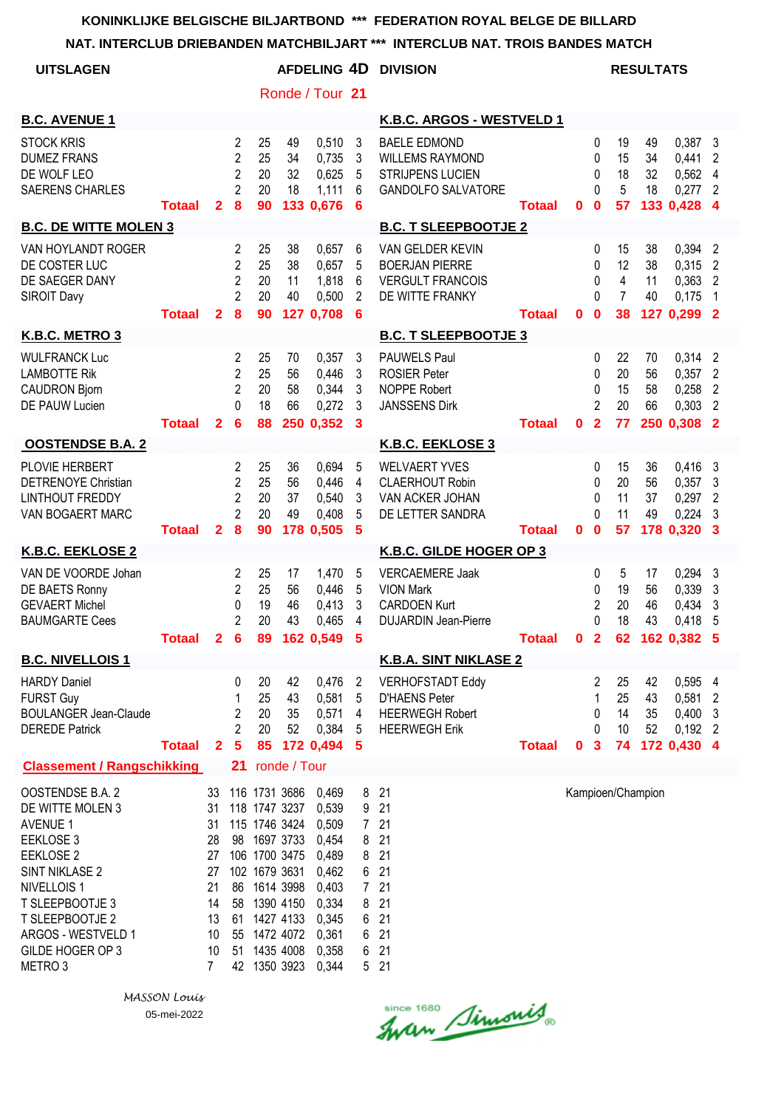| NAT. INTERCLUB DRIEBANDEN MATCHBILJART *** INTERCLUB NAT. TROIS BANDES MATCH                                                                                                                                                               |               |                                                                                  |                                                                           |                                                                                                                                                                                                   |                      |                                                                                                          |                                                                                          |                                                                                                       |               |              |                                         |                                                    |                      |                                                                 |                                              |
|--------------------------------------------------------------------------------------------------------------------------------------------------------------------------------------------------------------------------------------------|---------------|----------------------------------------------------------------------------------|---------------------------------------------------------------------------|---------------------------------------------------------------------------------------------------------------------------------------------------------------------------------------------------|----------------------|----------------------------------------------------------------------------------------------------------|------------------------------------------------------------------------------------------|-------------------------------------------------------------------------------------------------------|---------------|--------------|-----------------------------------------|----------------------------------------------------|----------------------|-----------------------------------------------------------------|----------------------------------------------|
| <b>UITSLAGEN</b>                                                                                                                                                                                                                           |               |                                                                                  |                                                                           |                                                                                                                                                                                                   |                      |                                                                                                          |                                                                                          | <b>AFDELING 4D DIVISION</b>                                                                           |               |              |                                         |                                                    | <b>RESULTATS</b>     |                                                                 |                                              |
|                                                                                                                                                                                                                                            |               |                                                                                  |                                                                           |                                                                                                                                                                                                   |                      | Ronde / Tour 21                                                                                          |                                                                                          |                                                                                                       |               |              |                                         |                                                    |                      |                                                                 |                                              |
| <b>B.C. AVENUE 1</b>                                                                                                                                                                                                                       |               |                                                                                  |                                                                           |                                                                                                                                                                                                   |                      |                                                                                                          |                                                                                          | K.B.C. ARGOS - WESTVELD 1                                                                             |               |              |                                         |                                                    |                      |                                                                 |                                              |
| <b>STOCK KRIS</b><br><b>DUMEZ FRANS</b><br>DE WOLF LEO<br><b>SAERENS CHARLES</b>                                                                                                                                                           | <b>Totaal</b> | $\mathbf{2}$                                                                     | $\overline{2}$<br>$\overline{2}$<br>$\overline{2}$<br>$\overline{2}$<br>8 | 25<br>25<br>20<br>20<br>90                                                                                                                                                                        | 49<br>34<br>32<br>18 | 0,510<br>0,735<br>0,625<br>1,111<br>133 0,676                                                            | $\mathbf{3}$<br>3<br>5<br>6<br>6                                                         | <b>BAELE EDMOND</b><br><b>WILLEMS RAYMOND</b><br><b>STRIJPENS LUCIEN</b><br><b>GANDOLFO SALVATORE</b> | <b>Totaal</b> | $\mathbf 0$  | 0<br>0<br>0<br>$\Omega$<br>$\mathbf{0}$ | 19<br>15<br>18<br>5<br>57                          | 49<br>34<br>32<br>18 | $0,387$ 3<br>0,441<br>0,562 4<br>0,277<br>133 0,428 4           | 2<br>$\overline{2}$                          |
| <b>B.C. DE WITTE MOLEN 3</b>                                                                                                                                                                                                               |               |                                                                                  |                                                                           |                                                                                                                                                                                                   |                      |                                                                                                          |                                                                                          | <b>B.C. T SLEEPBOOTJE 2</b>                                                                           |               |              |                                         |                                                    |                      |                                                                 |                                              |
| VAN HOYLANDT ROGER<br>DE COSTER LUC<br>DE SAEGER DANY<br><b>SIROIT Davy</b>                                                                                                                                                                | <b>Totaal</b> | $\mathbf{2}$                                                                     | $\overline{2}$<br>$\overline{2}$<br>$\overline{2}$<br>$\overline{2}$<br>8 | 25<br>25<br>20<br>20<br>90                                                                                                                                                                        | 38<br>38<br>11<br>40 | 0,657<br>0,657<br>1,818<br>0,500<br>127 0,708                                                            | 6<br>5<br>6<br>$\overline{2}$<br>6                                                       | VAN GELDER KEVIN<br><b>BOERJAN PIERRE</b><br><b>VERGULT FRANCOIS</b><br>DE WITTE FRANKY               | <b>Totaal</b> | $\mathbf{0}$ | 0<br>0<br>0<br>$\Omega$<br>$\mathbf{0}$ | 15<br>12<br>$\overline{4}$<br>$\overline{7}$<br>38 | 38<br>38<br>11<br>40 | 0,394 2<br>$0,315$ 2<br>$0,363$ 2<br>0,175<br>127 0.299 2       | $\overline{\phantom{1}}$                     |
| K.B.C. METRO 3                                                                                                                                                                                                                             |               |                                                                                  |                                                                           |                                                                                                                                                                                                   |                      |                                                                                                          |                                                                                          | <b>B.C. T SLEEPBOOTJE 3</b>                                                                           |               |              |                                         |                                                    |                      |                                                                 |                                              |
| <b>WULFRANCK Luc</b><br><b>LAMBOTTE Rik</b><br><b>CAUDRON Bjorn</b><br>DE PAUW Lucien                                                                                                                                                      | <b>Totaal</b> | $\mathbf{2}$                                                                     | 2<br>$\overline{2}$<br>$\overline{2}$<br>$\Omega$<br>6                    | 25<br>25<br>20<br>18<br>88                                                                                                                                                                        | 70<br>56<br>58<br>66 | 0,357<br>0,446<br>0,344<br>0,272<br>250 0,352 3                                                          | 3<br>3<br>$\mathbf{3}$<br>3                                                              | <b>PAUWELS Paul</b><br><b>ROSIER Peter</b><br><b>NOPPE Robert</b><br><b>JANSSENS Dirk</b>             | <b>Totaal</b> | $\mathbf 0$  | 0<br>0<br>0<br>2<br>$\overline{2}$      | 22<br>20<br>15<br>20<br>77                         | 70<br>56<br>58<br>66 | $0,314$ 2<br>$0,357$ 2<br>$0,258$ 2<br>$0,303$ 2<br>250 0,308 2 |                                              |
| <b>OOSTENDSE B.A. 2</b>                                                                                                                                                                                                                    |               |                                                                                  |                                                                           |                                                                                                                                                                                                   |                      |                                                                                                          |                                                                                          | K.B.C. EEKLOSE 3                                                                                      |               |              |                                         |                                                    |                      |                                                                 |                                              |
| PLOVIE HERBERT<br><b>DETRENOYE Christian</b><br><b>LINTHOUT FREDDY</b><br>VAN BOGAERT MARC                                                                                                                                                 | <b>Totaal</b> | $\overline{2}$                                                                   | 2<br>$\overline{2}$<br>$\overline{2}$<br>$\overline{2}$<br>8              | 25<br>25<br>20<br>20<br>90                                                                                                                                                                        | 36<br>56<br>37<br>49 | 0,694<br>0,446<br>0,540<br>0,408<br>178 0,505                                                            | 5<br>4<br>3<br>5<br>5                                                                    | <b>WELVAERT YVES</b><br><b>CLAERHOUT Robin</b><br>VAN ACKER JOHAN<br>DE LETTER SANDRA                 | <b>Totaal</b> | $\mathbf 0$  | 0<br>0<br>0<br>$\Omega$<br>$\mathbf 0$  | 15<br>20<br>11<br>11<br>57                         | 36<br>56<br>37<br>49 | 0,416<br>$0,357$ 3<br>0,297<br>0,224<br>178 0,320 3             | $_{3}$<br>$\overline{2}$<br>3                |
| <b>K.B.C. EEKLOSE 2</b>                                                                                                                                                                                                                    |               |                                                                                  |                                                                           |                                                                                                                                                                                                   |                      |                                                                                                          |                                                                                          | K.B.C. GILDE HOGER OP 3                                                                               |               |              |                                         |                                                    |                      |                                                                 |                                              |
| VAN DE VOORDE Johan<br>DE BAETS Ronny<br><b>GEVAERT Michel</b><br><b>BAUMGARTE Cees</b>                                                                                                                                                    | <b>Totaal</b> | 2 <sup>1</sup>                                                                   | 2<br>$\overline{c}$<br>0<br>$\overline{2}$<br>6                           | 25<br>25<br>19<br>20<br>89                                                                                                                                                                        | 17<br>56<br>46<br>43 | 1,470<br>0,446<br>0,413<br>0,465<br>162 0,549 5                                                          | 5<br>5<br>3<br>4                                                                         | <b>VERCAEMERE Jaak</b><br><b>VION Mark</b><br><b>CARDOEN Kurt</b><br><b>DUJARDIN Jean-Pierre</b>      | <b>Totaal</b> |              | 0<br>0<br>2<br>0<br>0 <sub>2</sub>      | 5<br>19<br>20<br>18                                | 17<br>56<br>46<br>43 | $0,294$ 3<br>0,339<br>0,434<br>0,418<br>62 162 0,382 5          | $\overline{\mathbf{3}}$<br>$\mathbf{3}$<br>5 |
| <b>B.C. NIVELLOIS 1</b>                                                                                                                                                                                                                    |               |                                                                                  |                                                                           |                                                                                                                                                                                                   |                      |                                                                                                          |                                                                                          | <b>K.B.A. SINT NIKLASE 2</b>                                                                          |               |              |                                         |                                                    |                      |                                                                 |                                              |
| <b>HARDY Daniel</b><br><b>FURST Guy</b><br><b>BOULANGER Jean-Claude</b><br><b>DEREDE Patrick</b>                                                                                                                                           | <b>Totaal</b> | $\mathbf{2}$                                                                     | 0<br>1<br>2<br>$\overline{2}$<br>$5\phantom{1}$                           | 20<br>25<br>20<br>20<br>85                                                                                                                                                                        | 42<br>43<br>35<br>52 | 0,476<br>0,581<br>0,571<br>0,384<br>172 0,494                                                            | 2<br>5<br>4<br>5<br>$\overline{\mathbf{5}}$                                              | <b>VERHOFSTADT Eddy</b><br><b>D'HAENS Peter</b><br><b>HEERWEGH Robert</b><br><b>HEERWEGH Erik</b>     | <b>Totaal</b> | $\mathbf 0$  | 2<br>1<br>0<br>0<br>$\mathbf{3}$        | 25<br>25<br>14<br>10<br>74                         | 42<br>43<br>35<br>52 | 0,595 4<br>0,581 2<br>$0,400$ 3<br>$0,192$ 2<br>172 0,430 4     |                                              |
| <b>Classement / Rangschikking</b>                                                                                                                                                                                                          |               |                                                                                  | 21                                                                        |                                                                                                                                                                                                   | ronde / Tour         |                                                                                                          |                                                                                          |                                                                                                       |               |              |                                         |                                                    |                      |                                                                 |                                              |
| OOSTENDSE B.A. 2<br>DE WITTE MOLEN 3<br><b>AVENUE 1</b><br>EEKLOSE 3<br>EEKLOSE 2<br><b>SINT NIKLASE 2</b><br>NIVELLOIS <sub>1</sub><br>T SLEEPBOOTJE 3<br>T SLEEPBOOTJE 2<br>ARGOS - WESTVELD 1<br>GILDE HOGER OP 3<br>METRO <sub>3</sub> |               | 33<br>31<br>31<br>28<br>27<br>27<br>21<br>14<br>13<br>10<br>10<br>$\overline{7}$ |                                                                           | 116 1731 3686<br>118 1747 3237<br>115 1746 3424<br>98 1697 3733<br>106 1700 3475<br>102 1679 3631<br>86 1614 3998<br>58 1390 4150<br>61 1427 4133<br>55 1472 4072<br>51 1435 4008<br>42 1350 3923 |                      | 0,469<br>0,539<br>0,509<br>0,454<br>0,489<br>0,462<br>0,403<br>0,334<br>0,345<br>0,361<br>0,358<br>0,344 | 8<br>9<br>$7^{\circ}$<br>8<br>8<br>6<br>8<br>6<br>$6\phantom{.0}$<br>6<br>5 <sup>5</sup> | 21<br>21<br>21<br>21<br>21<br>21<br>721<br>21<br>21<br>21<br>21<br>21                                 |               |              |                                         |                                                    | Kampioen/Champion    |                                                                 |                                              |

Since 1680 Simonis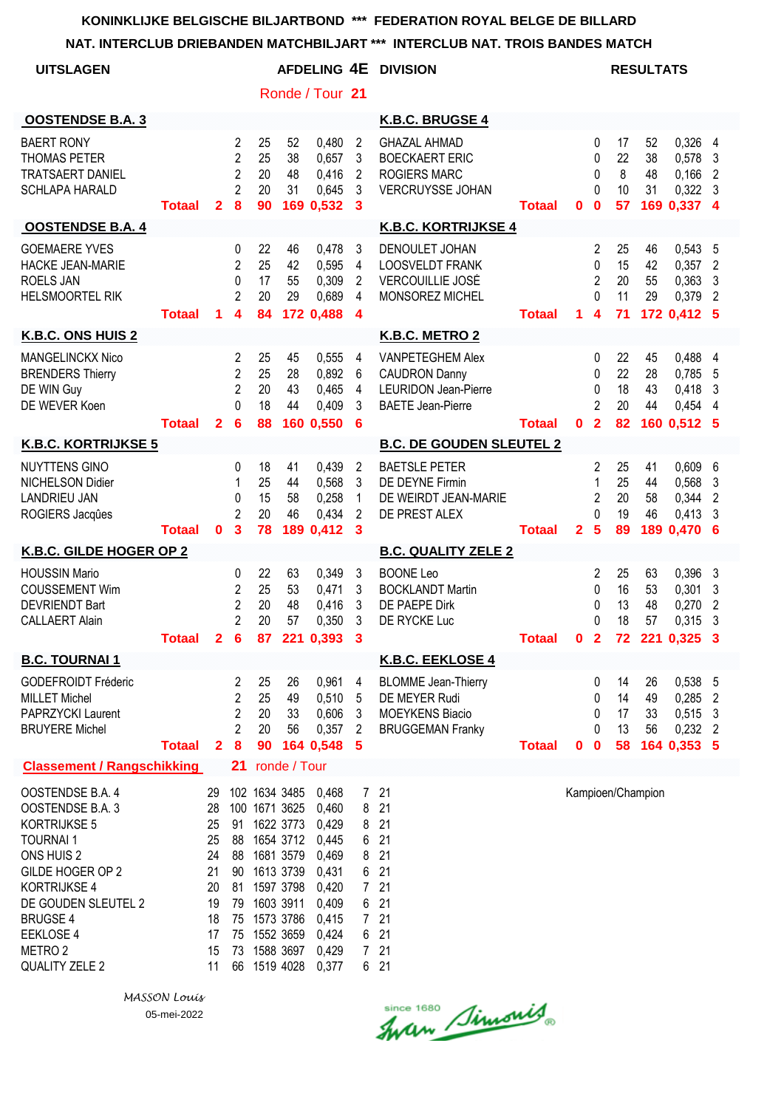**NAT. INTERCLUB DRIEBANDEN MATCHBILJART \*\*\* INTERCLUB NAT. TROIS BANDES MATCH**

| <u>NAT. INTERGLUB DRIEBANDEN MATGABILJAR I</u>                                                                                                                                                                                  |               |                                                                      |                                                              |                            | INTERULUD NAT. TRUIS DANDES MATUM                                                                                                                                                     |                                                                                                          |                                                                                                                 |                                                                                                            |               |              |                                                                           |                            |                             |                                                        |                                                  |
|---------------------------------------------------------------------------------------------------------------------------------------------------------------------------------------------------------------------------------|---------------|----------------------------------------------------------------------|--------------------------------------------------------------|----------------------------|---------------------------------------------------------------------------------------------------------------------------------------------------------------------------------------|----------------------------------------------------------------------------------------------------------|-----------------------------------------------------------------------------------------------------------------|------------------------------------------------------------------------------------------------------------|---------------|--------------|---------------------------------------------------------------------------|----------------------------|-----------------------------|--------------------------------------------------------|--------------------------------------------------|
| <b>UITSLAGEN</b>                                                                                                                                                                                                                |               |                                                                      |                                                              |                            |                                                                                                                                                                                       | <b>AFDELING 4E</b>                                                                                       |                                                                                                                 | <b>DIVISION</b>                                                                                            |               |              |                                                                           |                            | <b>RESULTATS</b>            |                                                        |                                                  |
|                                                                                                                                                                                                                                 |               |                                                                      |                                                              |                            |                                                                                                                                                                                       | Ronde / Tour 21                                                                                          |                                                                                                                 |                                                                                                            |               |              |                                                                           |                            |                             |                                                        |                                                  |
| <b>OOSTENDSE B.A. 3</b>                                                                                                                                                                                                         |               |                                                                      |                                                              |                            |                                                                                                                                                                                       |                                                                                                          |                                                                                                                 | K.B.C. BRUGSE 4                                                                                            |               |              |                                                                           |                            |                             |                                                        |                                                  |
| <b>BAERT RONY</b><br>THOMAS PETER<br><b>TRATSAERT DANIEL</b><br><b>SCHLAPA HARALD</b>                                                                                                                                           | <b>Totaal</b> | $\mathbf{2}$                                                         | 2<br>$\overline{2}$<br>$\overline{2}$<br>$\overline{2}$<br>8 | 25<br>25<br>20<br>20<br>90 | 52<br>38<br>48<br>31                                                                                                                                                                  | 0,480<br>0,657<br>0,416<br>0,645<br>169 0,532                                                            | 2<br>3<br>$\overline{2}$<br>3<br>$\mathbf{3}$                                                                   | <b>GHAZAL AHMAD</b><br><b>BOECKAERT ERIC</b><br><b>ROGIERS MARC</b><br>VERCRUYSSE JOHAN                    | <b>Totaal</b> | 0            | 0<br>0<br>$\mathbf{0}$<br>$\Omega$<br>$\bf{0}$                            | 17<br>22<br>8<br>10<br>57  | 52<br>38<br>48<br>31        | 0,326<br>0,578<br>0,166<br>0,322<br>169 0,337 4        | 4<br>3<br>$\overline{2}$<br>-3                   |
| <b>OOSTENDSE B.A. 4</b>                                                                                                                                                                                                         |               |                                                                      |                                                              |                            |                                                                                                                                                                                       |                                                                                                          |                                                                                                                 | <b>K.B.C. KORTRIJKSE 4</b>                                                                                 |               |              |                                                                           |                            |                             |                                                        |                                                  |
| <b>GOEMAERE YVES</b><br>HACKE JEAN-MARIE<br>ROELS JAN<br><b>HELSMOORTEL RIK</b>                                                                                                                                                 | <b>Totaal</b> | 1                                                                    | 0<br>$\overline{2}$<br>0<br>2<br>4                           | 22<br>25<br>17<br>20<br>84 | 46<br>42<br>55<br>29                                                                                                                                                                  | 0,478<br>0,595<br>0,309<br>0,689<br>172 0,488                                                            | 3<br>$\overline{4}$<br>2<br>$\overline{4}$<br>$\boldsymbol{4}$                                                  | DENOULET JOHAN<br><b>LOOSVELDT FRANK</b><br>VERCOUILLIE JOSÉ<br>MONSOREZ MICHEL                            | <b>Totaal</b> | 1.           | 2<br>$\mathbf 0$<br>$\overline{2}$<br>$\Omega$<br>$\overline{\mathbf{4}}$ | 25<br>15<br>20<br>11<br>71 | 46<br>42<br>55<br>29        | 0,543<br>0,357<br>0,363<br>0,379<br>172 0,412 5        | 5<br>2<br>3<br>$\overline{2}$                    |
| K.B.C. ONS HUIS 2                                                                                                                                                                                                               |               |                                                                      |                                                              |                            |                                                                                                                                                                                       |                                                                                                          |                                                                                                                 | K.B.C. METRO 2                                                                                             |               |              |                                                                           |                            |                             |                                                        |                                                  |
| MANGELINCKX Nico<br><b>BRENDERS Thierry</b><br>DE WIN Guy<br>DE WEVER Koen                                                                                                                                                      | <b>Totaal</b> | $\mathbf{2}$                                                         | 2<br>$\overline{2}$<br>$\overline{2}$<br>0<br>6              | 25<br>25<br>20<br>18<br>88 | 45<br>28<br>43<br>44                                                                                                                                                                  | 0,555<br>0,892<br>0,465<br>0,409<br>160 0,550                                                            | 4<br>$6\phantom{.}6$<br>4<br>3<br>6                                                                             | <b>VANPETEGHEM Alex</b><br><b>CAUDRON Danny</b><br><b>LEURIDON Jean-Pierre</b><br><b>BAETE Jean-Pierre</b> | <b>Totaal</b> | $\mathbf{0}$ | $\mathbf{0}$<br>$\mathbf{0}$<br>0<br>$\overline{2}$<br>$\overline{2}$     | 22<br>22<br>18<br>20<br>82 | 45<br>28<br>43<br>44        | 0,488<br>0,785<br>0,418<br>0,454<br>160 0.512          | 4<br>5<br>3<br>4<br>5                            |
| <b>K.B.C. KORTRIJKSE 5</b>                                                                                                                                                                                                      |               |                                                                      |                                                              |                            |                                                                                                                                                                                       |                                                                                                          |                                                                                                                 | <b>B.C. DE GOUDEN SLEUTEL 2</b>                                                                            |               |              |                                                                           |                            |                             |                                                        |                                                  |
| <b>NUYTTENS GINO</b><br>NICHELSON Didier<br><b>LANDRIEU JAN</b><br>ROGIERS Jacques                                                                                                                                              | Totaal        | $\bf{0}$                                                             | 0<br>1<br>0<br>$\mathfrak{p}$<br>3                           | 18<br>25<br>15<br>20<br>78 | 41<br>44<br>58<br>46<br>189                                                                                                                                                           | 0,439<br>0,568<br>0,258<br>0,434<br>0,412                                                                | 2<br>3<br>$\mathbf{1}$<br>$\overline{2}$<br>3                                                                   | <b>BAETSLE PETER</b><br>DE DEYNE Firmin<br>DE WEIRDT JEAN-MARIE<br>DE PREST ALEX                           | <b>Totaal</b> | $\mathbf{2}$ | 2<br>1<br>$\overline{2}$<br>$\Omega$<br>5                                 | 25<br>25<br>20<br>19<br>89 | 41<br>44<br>58<br>46<br>189 | 0,609<br>0,568<br>0,344<br>0,413<br>0,470              | 6<br>3<br>2<br>3<br>6                            |
| K.B.C. GILDE HOGER OP 2                                                                                                                                                                                                         |               |                                                                      |                                                              |                            |                                                                                                                                                                                       |                                                                                                          |                                                                                                                 | <b>B.C. QUALITY ZELE 2</b>                                                                                 |               |              |                                                                           |                            |                             |                                                        |                                                  |
| <b>HOUSSIN Mario</b><br><b>COUSSEMENT Wim</b><br><b>DEVRIENDT Bart</b><br><b>CALLAERT Alain</b>                                                                                                                                 |               |                                                                      | 0<br>$\overline{c}$<br>$\overline{c}$<br>$\overline{2}$      | 22<br>25<br>20<br>20       | 63<br>53<br>48<br>57                                                                                                                                                                  | 0,349<br>0,471<br>0,416<br>0,350<br>Totaal 2 6 87 221 0,393 3                                            | 3<br>3<br>3<br>3                                                                                                | <b>BOONE Leo</b><br><b>BOCKLANDT Martin</b><br>DE PAEPE Dirk<br>DE RYCKE Luc                               | <b>Totaal</b> |              | $\overline{c}$<br>$\mathbf 0$<br>0<br>$\Omega$                            | 25<br>16<br>13<br>18       | 63<br>53<br>48<br>57        | 0,396<br>0,301<br>0,270<br>0,315<br>0 2 72 221 0,325 3 | 3<br>3<br>2<br>3                                 |
| <b>B.C. TOURNAI 1</b>                                                                                                                                                                                                           |               |                                                                      |                                                              |                            |                                                                                                                                                                                       |                                                                                                          |                                                                                                                 | K.B.C. EEKLOSE 4                                                                                           |               |              |                                                                           |                            |                             |                                                        |                                                  |
| <b>GODEFROIDT Fréderic</b><br><b>MILLET Michel</b><br>PAPRZYCKI Laurent<br><b>BRUYERE Michel</b>                                                                                                                                | <b>Totaal</b> | $\mathbf{2}$                                                         | 2<br>2<br>2<br>2<br>$\boldsymbol{8}$                         | 25<br>25<br>20<br>20<br>90 | 26<br>49<br>33<br>56                                                                                                                                                                  | 0,961<br>0,510<br>0,606<br>0,357<br>164 0,548                                                            | 4<br>5<br>3<br>$\overline{2}$<br>- 5                                                                            | <b>BLOMME</b> Jean-Thierry<br>DE MEYER Rudi<br><b>MOEYKENS Biacio</b><br><b>BRUGGEMAN Franky</b>           | <b>Totaal</b> | $\mathbf 0$  | 0<br>0<br>0<br>0<br>$\bf{0}$                                              | 14<br>14<br>17<br>13<br>58 | 26<br>49<br>33<br>56        | 0,538 5<br>0,285<br>0,515<br>0,232<br>164 0.353 5      | $\overline{2}$<br>$\mathbf{3}$<br>$\overline{2}$ |
| <b>Classement / Rangschikking</b>                                                                                                                                                                                               |               |                                                                      | 21                                                           |                            | ronde / Tour                                                                                                                                                                          |                                                                                                          |                                                                                                                 |                                                                                                            |               |              |                                                                           |                            |                             |                                                        |                                                  |
| OOSTENDSE B.A. 4<br>OOSTENDSE B.A. 3<br>KORTRIJKSE 5<br><b>TOURNAI1</b><br>ONS HUIS 2<br>GILDE HOGER OP 2<br>KORTRIJKSE 4<br>DE GOUDEN SLEUTEL 2<br><b>BRUGSE 4</b><br>EEKLOSE 4<br>METRO <sub>2</sub><br><b>QUALITY ZELE 2</b> |               | 29<br>28<br>25<br>25<br>24<br>21<br>20<br>19<br>18<br>17<br>15<br>11 | 91<br>81<br>66                                               |                            | 102 1634 3485<br>100 1671 3625<br>1622 3773<br>88 1654 3712<br>88 1681 3579<br>90 1613 3739<br>1597 3798<br>79 1603 3911<br>75 1573 3786<br>75 1552 3659<br>73 1588 3697<br>1519 4028 | 0,468<br>0,460<br>0,429<br>0,445<br>0,469<br>0,431<br>0,420<br>0,409<br>0,415<br>0,424<br>0,429<br>0,377 | $7\overline{ }$<br>8<br>8<br>6<br>8<br>6<br>$7^{\circ}$<br>6<br>$7^{\circ}$<br>6 <sup>1</sup><br>7 <sup>7</sup> | 21<br>21<br>21<br>21<br>21<br>21<br>21<br>21<br>21<br>21<br>21<br>6 21                                     |               |              |                                                                           |                            | Kampioen/Champion           |                                                        |                                                  |

since 1680 Simonis